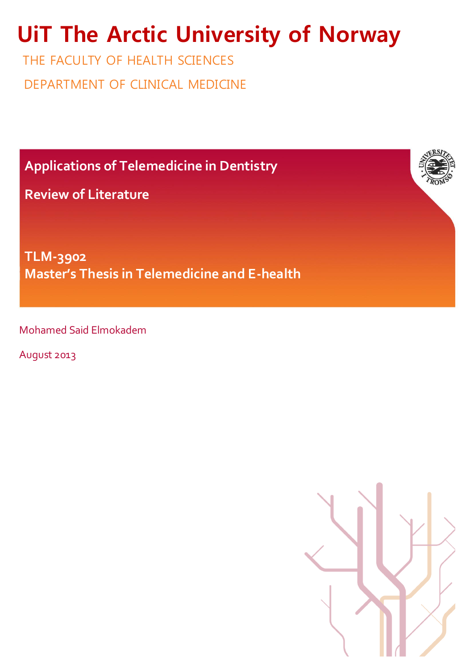# **UiT The Arctic University of Norway**

THE FACULTY OF HEALTH SCIENCES DEPARTMENT OF CLINICAL MEDICINE

**Applications of Telemedicine in Dentistry**

**Review of Literature** 

**TLM-3902 Master's Thesis in Telemedicine and E-health**

Mohamed Said Elmokadem

August 2013

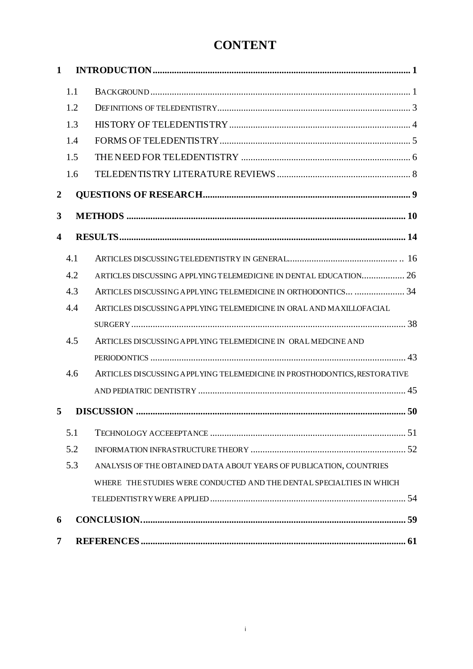# **CONTENT**

| 1                    |     |                                                                          |  |  |
|----------------------|-----|--------------------------------------------------------------------------|--|--|
|                      | 1.1 |                                                                          |  |  |
|                      | 1.2 |                                                                          |  |  |
|                      | 1.3 |                                                                          |  |  |
|                      | 1.4 |                                                                          |  |  |
|                      | 1.5 |                                                                          |  |  |
|                      | 1.6 |                                                                          |  |  |
| $\overline{2}$       |     |                                                                          |  |  |
| 3                    |     |                                                                          |  |  |
| $\blacktriangleleft$ |     |                                                                          |  |  |
|                      | 4.1 |                                                                          |  |  |
|                      | 4.2 | ARTICLES DISCUSSING APPLYING TELEMEDICINE IN DENTAL EDUCATION 26         |  |  |
|                      | 4.3 | ARTICLES DISCUSSING APPLYING TELEMEDICINE IN ORTHODONTICS  34            |  |  |
|                      | 4.4 | ARTICLES DISCUSSING APPLYING TELEMEDICINE IN ORAL AND MAXILLOFACIAL      |  |  |
|                      |     |                                                                          |  |  |
|                      | 4.5 | ARTICLES DISCUSSING APPLYING TELEMEDICINE IN ORAL MEDCINE AND            |  |  |
|                      |     |                                                                          |  |  |
|                      | 4.6 | ARTICLES DISCUSSING APPLYING TELEMEDICINE IN PROSTHODONTICS, RESTORATIVE |  |  |
|                      |     |                                                                          |  |  |
| 5                    |     |                                                                          |  |  |
|                      | 5.1 |                                                                          |  |  |
|                      | 5.2 |                                                                          |  |  |
|                      | 5.3 | ANALYSIS OF THE OBTAINED DATA ABOUT YEARS OF PUBLICATION, COUNTRIES      |  |  |
|                      |     | WHERE THE STUDIES WERE CONDUCTED AND THE DENTAL SPECIALTIES IN WHICH     |  |  |
|                      |     |                                                                          |  |  |
|                      | 6   |                                                                          |  |  |
| 7                    |     |                                                                          |  |  |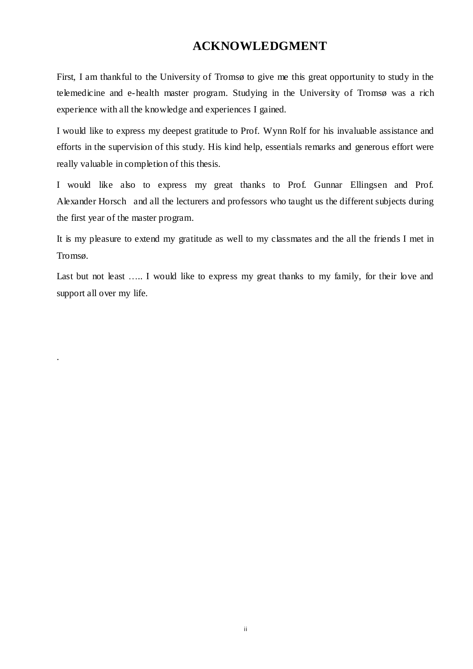# **ACKNOWLEDGMENT**

First, I am thankful to the University of Tromsø to give me this great opportunity to study in the telemedicine and e-health master program. Studying in the University of Tromsø was a rich experience with all the knowledge and experiences I gained.

I would like to express my deepest gratitude to Prof. Wynn Rolf for his invaluable assistance and efforts in the supervision of this study. His kind help, essentials remarks and generous effort were really valuable in completion of this thesis.

I would like also to express my great thanks to Prof. Gunnar Ellingsen and Prof. Alexander Horsch and all the lecturers and professors who taught us the different subjects during the first year of the master program.

It is my pleasure to extend my gratitude as well to my classmates and the all the friends I met in Tromsø.

Last but not least ..... I would like to express my great thanks to my family, for their love and support all over my life.

.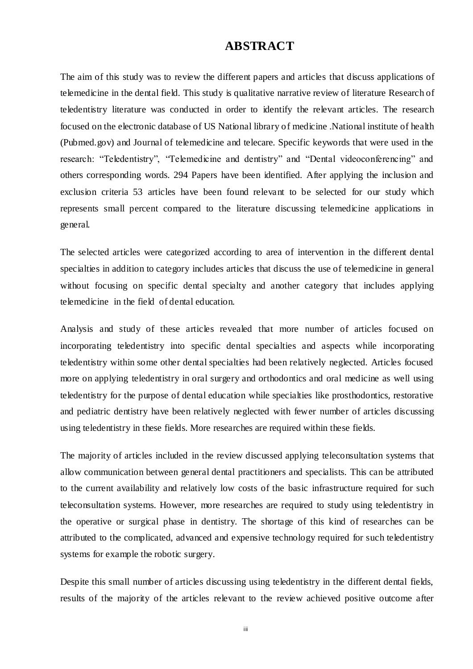# **ABSTRACT**

The aim of this study was to review the different papers and articles that discuss applications of telemedicine in the dental field. This study is qualitative narrative review of literature Research of teledentistry literature was conducted in order to identify the relevant articles. The research focused on the electronic database of US National library of medicine .National institute of health (Pubmed.gov) and Journal of telemedicine and telecare. Specific keywords that were used in the research: "Teledentistry", "Telemedicine and dentistry" and "Dental videoconferencing" and others corresponding words. 294 Papers have been identified. After applying the inclusion and exclusion criteria 53 articles have been found relevant to be selected for our study which represents small percent compared to the literature discussing telemedicine applications in general.

The selected articles were categorized according to area of intervention in the different dental specialties in addition to category includes articles that discuss the use of telemedicine in general without focusing on specific dental specialty and another category that includes applying telemedicine in the field of dental education.

Analysis and study of these articles revealed that more number of articles focused on incorporating teledentistry into specific dental specialties and aspects while incorporating teledentistry within some other dental specialties had been relatively neglected. Articles focused more on applying teledentistry in oral surgery and orthodontics and oral medicine as well using teledentistry for the purpose of dental education while specialties like prosthodontics, restorative and pediatric dentistry have been relatively neglected with fewer number of articles discussing using teledentistry in these fields. More researches are required within these fields.

The majority of articles included in the review discussed applying teleconsultation systems that allow communication between general dental practitioners and specialists. This can be attributed to the current availability and relatively low costs of the basic infrastructure required for such teleconsultation systems. However, more researches are required to study using teledentistry in the operative or surgical phase in dentistry. The shortage of this kind of researches can be attributed to the complicated, advanced and expensive technology required for such teledentistry systems for example the robotic surgery.

Despite this small number of articles discussing using teledentistry in the different dental fields, results of the majority of the articles relevant to the review achieved positive outcome after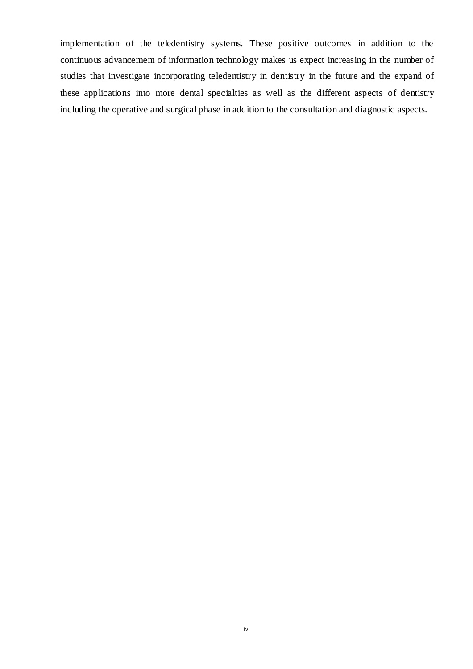implementation of the teledentistry systems. These positive outcomes in addition to the continuous advancement of information technology makes us expect increasing in the number of studies that investigate incorporating teledentistry in dentistry in the future and the expand of these applications into more dental specialties as well as the different aspects of dentistry including the operative and surgical phase in addition to the consultation and diagnostic aspects.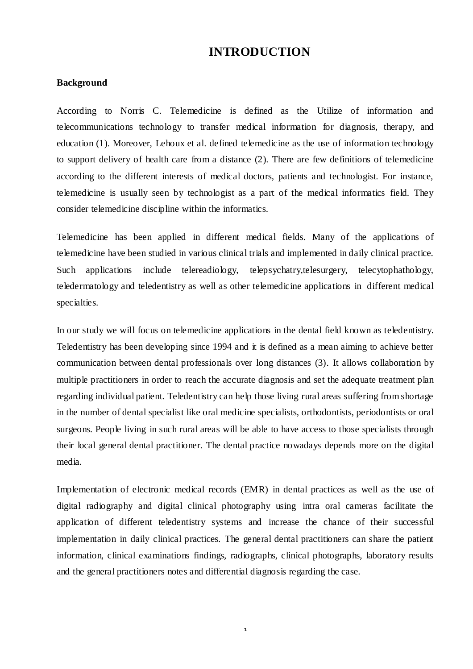# **INTRODUCTION**

### **Background**

According to Norris C. Telemedicine is defined as the Utilize of information and telecommunications technology to transfer medical information for diagnosis, therapy, and education (1). Moreover, Lehoux et al. defined telemedicine as the use of information technology to support delivery of health care from a distance (2). There are few definitions of telemedicine according to the different interests of medical doctors, patients and technologist. For instance, telemedicine is usually seen by technologist as a part of the medical informatics field. They consider telemedicine discipline within the informatics.

Telemedicine has been applied in different medical fields. Many of the applications of telemedicine have been studied in various clinical trials and implemented in daily clinical practice. Such applications include telereadiology, telepsychatry,telesurgery, telecytophathology, teledermatology and teledentistry as well as other telemedicine applications in different medical specialties.

In our study we will focus on telemedicine applications in the dental field known as teledentistry. Teledentistry has been developing since 1994 and it is defined as a mean aiming to achieve better communication between dental professionals over long distances (3). It allows collaboration by multiple practitioners in order to reach the accurate diagnosis and set the adequate treatment plan regarding individual patient. Teledentistry can help those living rural areas suffering from shortage in the number of dental specialist like oral medicine specialists, orthodontists, periodontists or oral surgeons. People living in such rural areas will be able to have access to those specialists through their local general dental practitioner. The dental practice nowadays depends more on the digital media.

Implementation of electronic medical records (EMR) in dental practices as well as the use of digital radiography and digital clinical photography using intra oral cameras facilitate the application of different teledentistry systems and increase the chance of their successful implementation in daily clinical practices. The general dental practitioners can share the patient information, clinical examinations findings, radiographs, clinical photographs, laboratory results and the general practitioners notes and differential diagnosis regarding the case.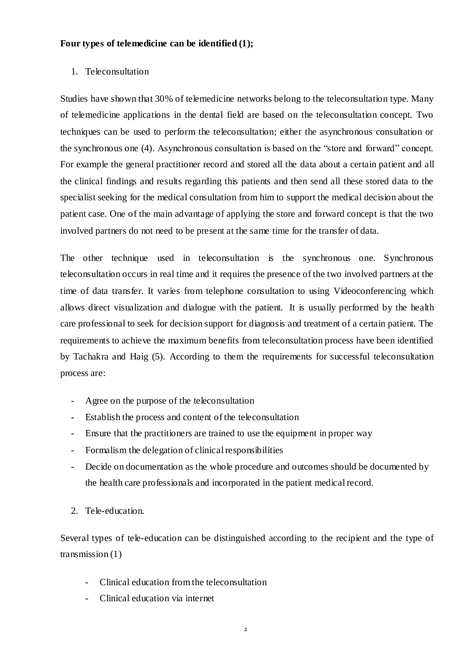#### **Four types of telemedicine can be identified (1);**

#### 1. Teleconsultation

Studies have shown that 30% of telemedicine networks belong to the teleconsultation type. Many of telemedicine applications in the dental field are based on the teleconsultation concept. Two techniques can be used to perform the teleconsultation; either the asynchronous consultation or the synchronous one (4). Asynchronous consultation is based on the "store and forward" concept. For example the general practitioner record and stored all the data about a certain patient and all the clinical findings and results regarding this patients and then send all these stored data to the specialist seeking for the medical consultation from him to support the medical decision about the patient case. One of the main advantage of applying the store and forward concept is that the two involved partners do not need to be present at the same time for the transfer of data.

The other technique used in teleconsultation is the synchronous one. Synchronous teleconsultation occurs in real time and it requires the presence of the two involved partners at the time of data transfer. It varies from telephone consultation to using Videoconferencing which allows direct visualization and dialogue with the patient. It is usually performed by the health care professional to seek for decision support for diagnosis and treatment of a certain patient. The requirements to achieve the maximum benefits from teleconsultation process have been identified by Tachakra and Haig (5). According to them the requirements for successful teleconsultation process are:

- Agree on the purpose of the teleconsultation
- Establish the process and content of the teleconsultation
- Ensure that the practitioners are trained to use the equipment in proper way
- Formalism the delegation of clinical responsibilities
- Decide on documentation as the whole procedure and outcomes should be documented by the health care professionals and incorporated in the patient medical record.
- 2. Tele-education.

Several types of tele-education can be distinguished according to the recipient and the type of transmission (1)

- Clinical education from the teleconsultation
- Clinical education via internet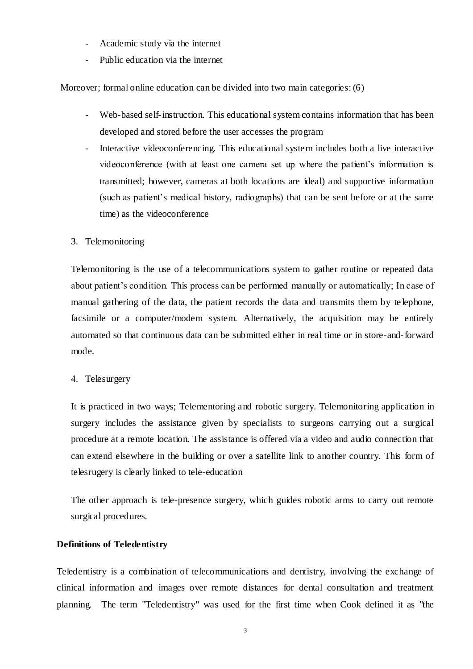- Academic study via the internet
- Public education via the internet

Moreover; formal online education can be divided into two main categories: (6)

- Web-based self-instruction. This educational system contains information that has been developed and stored before the user accesses the program
- Interactive videoconferencing. This educational system includes both a live interactive videoconference (with at least one camera set up where the patient's information is transmitted; however, cameras at both locations are ideal) and supportive information (such as patient's medical history, radiographs) that can be sent before or at the same time) as the videoconference

#### 3. Telemonitoring

Telemonitoring is the use of a telecommunications system to gather routine or repeated data about patient's condition. This process can be performed manually or automatically; In case of manual gathering of the data, the patient records the data and transmits them by te lephone, facsimile or a computer/modem system. Alternatively, the acquisition may be entirely automated so that continuous data can be submitted either in real time or in store-and-forward mode.

#### 4. Telesurgery

It is practiced in two ways; Telementoring and robotic surgery. Telemonitoring application in surgery includes the assistance given by specialists to surgeons carrying out a surgical procedure at a remote location. The assistance is offered via a video and audio connection that can extend elsewhere in the building or over a satellite link to another country. This form of telesrugery is clearly linked to tele-education

The other approach is tele-presence surgery, which guides robotic arms to carry out remote surgical procedures.

## **Definitions of Teledentistry**

Teledentistry is a combination of telecommunications and dentistry, involving the exchange of clinical information and images over remote distances for dental consultation and treatment planning. The term "Teledentistry" was used for the first time when Cook defined it as "the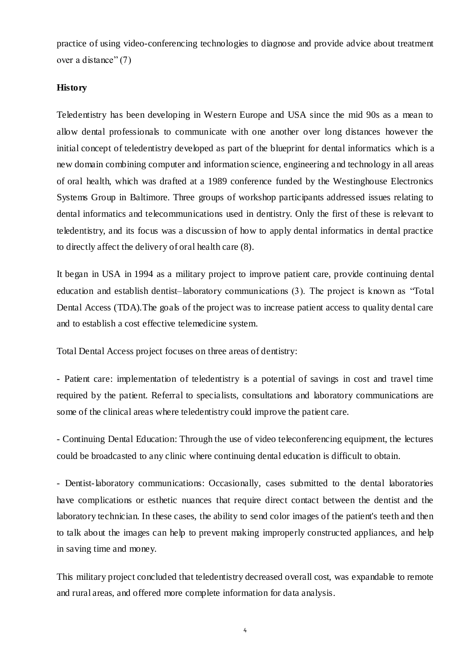practice of using video-conferencing technologies to diagnose and provide advice about treatment over a distance" (7)

#### **History**

Teledentistry has been developing in Western Europe and USA since the mid 90s as a mean to allow dental professionals to communicate with one another over long distances however the initial concept of teledentistry developed as part of the blueprint for dental informatics which is a new domain combining computer and information science, engineering and technology in all areas of oral health, which was drafted at a 1989 conference funded by the Westinghouse Electronics Systems Group in Baltimore. Three groups of workshop participants addressed issues relating to dental informatics and telecommunications used in dentistry. Only the first of these is relevant to teledentistry, and its focus was a discussion of how to apply dental informatics in dental practice to directly affect the delivery of oral health care (8).

It began in USA in 1994 as a military project to improve patient care, provide continuing dental education and establish dentist–laboratory communications (3). The project is known as "Total Dental Access (TDA).The goals of the project was to increase patient access to quality dental care and to establish a cost effective telemedicine system.

Total Dental Access project focuses on three areas of dentistry:

- Patient care: implementation of teledentistry is a potential of savings in cost and travel time required by the patient. Referral to specialists, consultations and laboratory communications are some of the clinical areas where teledentistry could improve the patient care.

- Continuing Dental Education: Through the use of video teleconferencing equipment, the lectures could be broadcasted to any clinic where continuing dental education is difficult to obtain.

- Dentist-laboratory communications: Occasionally, cases submitted to the dental laboratories have complications or esthetic nuances that require direct contact between the dentist and the laboratory technician. In these cases, the ability to send color images of the patient's teeth and then to talk about the images can help to prevent making improperly constructed appliances, and help in saving time and money.

This military project concluded that teledentistry decreased overall cost, was expandable to remote and rural areas, and offered more complete information for data analysis.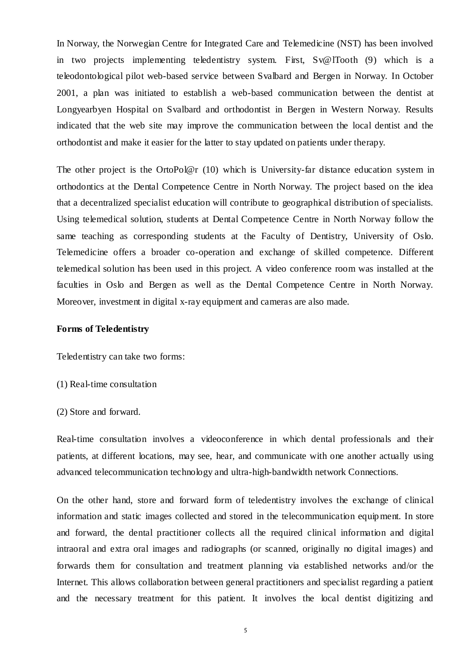In Norway, the Norwegian Centre for Integrated Care and Telemedicine (NST) has been involved in two projects implementing teledentistry system. First, Sv@lTooth (9) which is a teleodontological pilot web-based service between Svalbard and Bergen in Norway. In October 2001, a plan was initiated to establish a web-based communication between the dentist at Longyearbyen Hospital on Svalbard and orthodontist in Bergen in Western Norway. Results indicated that the web site may improve the communication between the local dentist and the orthodontist and make it easier for the latter to stay updated on patients under therapy.

The other project is the OrtoPol@r (10) which is University-far distance education system in orthodontics at the Dental Competence Centre in North Norway. The project based on the idea that a decentralized specialist education will contribute to geographical distribution of specialists. Using telemedical solution, students at Dental Competence Centre in North Norway follow the same teaching as corresponding students at the Faculty of Dentistry, University of Oslo. Telemedicine offers a broader co-operation and exchange of skilled competence. Different telemedical solution has been used in this project. A video conference room was installed at the faculties in Oslo and Bergen as well as the Dental Competence Centre in North Norway. Moreover, investment in digital x-ray equipment and cameras are also made.

#### **Forms of Teledentistry**

Teledentistry can take two forms:

- (1) Real-time consultation
- (2) Store and forward.

Real-time consultation involves a videoconference in which dental professionals and their patients, at different locations, may see, hear, and communicate with one another actually using advanced telecommunication technology and ultra-high-bandwidth network Connections.

On the other hand, store and forward form of teledentistry involves the exchange of clinical information and static images collected and stored in the telecommunication equipment. In store and forward, the dental practitioner collects all the required clinical information and digital intraoral and extra oral images and radiographs (or scanned, originally no digital images) and forwards them for consultation and treatment planning via established networks and/or the Internet. This allows collaboration between general practitioners and specialist regarding a patient and the necessary treatment for this patient. It involves the local dentist digitizing and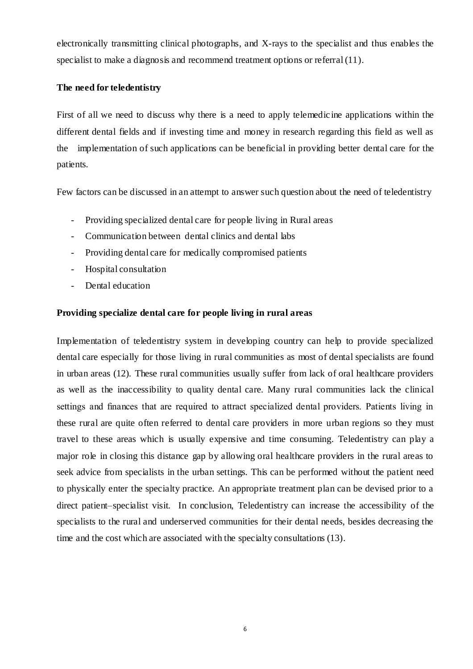electronically transmitting clinical photographs, and X-rays to the specialist and thus enables the specialist to make a diagnosis and recommend treatment options or referral (11).

#### **The need for teledentistry**

First of all we need to discuss why there is a need to apply telemedic ine applications within the different dental fields and if investing time and money in research regarding this field as well as the implementation of such applications can be beneficial in providing better dental care for the patients.

Few factors can be discussed in an attempt to answer such question about the need of teledentistry

- Providing specialized dental care for people living in Rural areas
- Communication between dental clinics and dental labs
- Providing dental care for medically compromised patients
- Hospital consultation
- Dental education

## **Providing specialize dental care for people living in rural areas**

Implementation of teledentistry system in developing country can help to provide specialized dental care especially for those living in rural communities as most of dental specialists are found in urban areas (12). These rural communities usually suffer from lack of oral healthcare providers as well as the inaccessibility to quality dental care. Many rural communities lack the clinical settings and finances that are required to attract specialized dental providers. Patients living in these rural are quite often referred to dental care providers in more urban regions so they must travel to these areas which is usually expensive and time consuming. Teledentistry can play a major role in closing this distance gap by allowing oral healthcare providers in the rural areas to seek advice from specialists in the urban settings. This can be performed without the patient need to physically enter the specialty practice. An appropriate treatment plan can be devised prior to a direct patient–specialist visit. In conclusion, Teledentistry can increase the accessibility of the specialists to the rural and underserved communities for their dental needs, besides decreasing the time and the cost which are associated with the specialty consultations (13).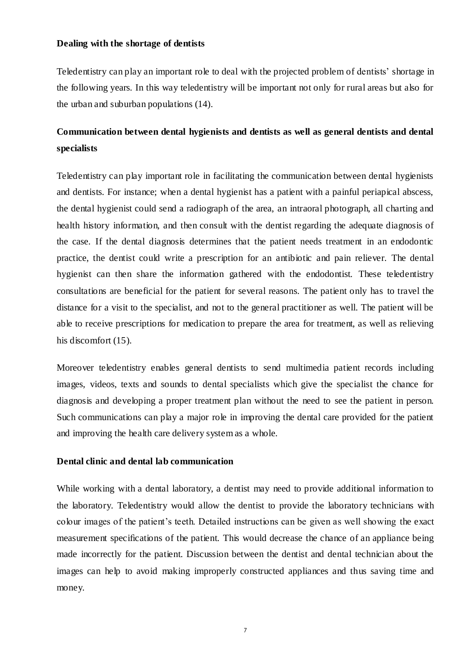#### **Dealing with the shortage of dentists**

Teledentistry can play an important role to deal with the projected problem of dentists' shortage in the following years. In this way teledentistry will be important not only for rural areas but also for the urban and suburban populations (14).

# **Communication between dental hygienists and dentists as well as general dentists and dental specialists**

Teledentistry can play important role in facilitating the communication between dental hygienists and dentists. For instance; when a dental hygienist has a patient with a painful periapical abscess, the dental hygienist could send a radiograph of the area, an intraoral photograph, all charting and health history information, and then consult with the dentist regarding the adequate diagnosis of the case. If the dental diagnosis determines that the patient needs treatment in an endodontic practice, the dentist could write a prescription for an antibiotic and pain reliever. The dental hygienist can then share the information gathered with the endodontist. These teledentistry consultations are beneficial for the patient for several reasons. The patient only has to travel the distance for a visit to the specialist, and not to the general practitioner as well. The patient will be able to receive prescriptions for medication to prepare the area for treatment, as well as relieving his discomfort  $(15)$ .

Moreover teledentistry enables general dentists to send multimedia patient records including images, videos, texts and sounds to dental specialists which give the specialist the chance for diagnosis and developing a proper treatment plan without the need to see the patient in person. Such communications can play a major role in improving the dental care provided for the patient and improving the health care delivery system as a whole.

#### **Dental clinic and dental lab communication**

While working with a dental laboratory, a dentist may need to provide additional information to the laboratory. Teledentistry would allow the dentist to provide the laboratory technicians with colour images of the patient's teeth. Detailed instructions can be given as well showing the exact measurement specifications of the patient. This would decrease the chance of an appliance being made incorrectly for the patient. Discussion between the dentist and dental technician about the images can help to avoid making improperly constructed appliances and thus saving time and money.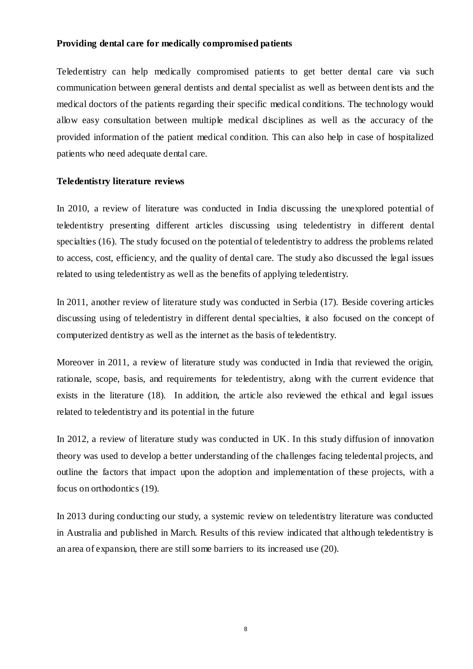#### **Providing dental care for medically compromised patients**

Teledentistry can help medically compromised patients to get better dental care via such communication between general dentists and dental specialist as well as between dentists and the medical doctors of the patients regarding their specific medical conditions. The technology would allow easy consultation between multiple medical disciplines as well as the accuracy of the provided information of the patient medical condition. This can also help in case of hospitalized patients who need adequate dental care.

#### **Teledentistry literature reviews**

In 2010, a review of literature was conducted in India discussing the unexplored potential of teledentistry presenting different articles discussing using teledentistry in different dental specialties (16). The study focused on the potential of teledentistry to address the problems related to access, cost, efficiency, and the quality of dental care. The study also discussed the legal issues related to using teledentistry as well as the benefits of applying teledentistry.

In 2011, another review of literature study was conducted in Serbia (17). Beside covering articles discussing using of teledentistry in different dental specialties, it also focused on the concept of computerized dentistry as well as the internet as the basis of teledentistry.

Moreover in 2011, a review of literature study was conducted in India that reviewed the origin, rationale, scope, basis, and requirements for teledentistry, along with the current evidence that exists in the literature (18). In addition, the article also reviewed the ethical and legal issues related to teledentistry and its potential in the future

In 2012, a review of literature study was conducted in UK. In this study diffusion of innovation theory was used to develop a better understanding of the challenges facing teledental projects, and outline the factors that impact upon the adoption and implementation of these projects, with a focus on orthodontics (19).

In 2013 during conducting our study, a systemic review on teledentistry literature was conducted in Australia and published in March. Results of this review indicated that although teledentistry is an area of expansion, there are still some barriers to its increased use (20).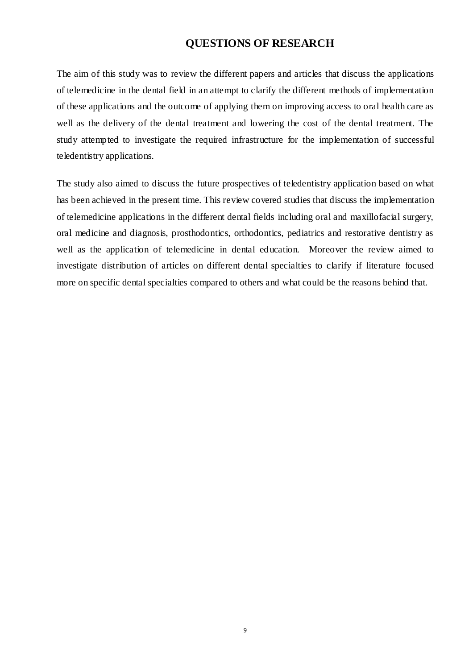# **QUESTIONS OF RESEARCH**

The aim of this study was to review the different papers and articles that discuss the applications of telemedicine in the dental field in an attempt to clarify the different methods of implementation of these applications and the outcome of applying them on improving access to oral health care as well as the delivery of the dental treatment and lowering the cost of the dental treatment. The study attempted to investigate the required infrastructure for the implementation of successful teledentistry applications.

The study also aimed to discuss the future prospectives of teledentistry application based on what has been achieved in the present time. This review covered studies that discuss the implementation of telemedicine applications in the different dental fields including oral and maxillofacial surgery, oral medicine and diagnosis, prosthodontics, orthodontics, pediatrics and restorative dentistry as well as the application of telemedicine in dental education. Moreover the review aimed to investigate distribution of articles on different dental specialties to clarify if literature focused more on specific dental specialties compared to others and what could be the reasons behind that.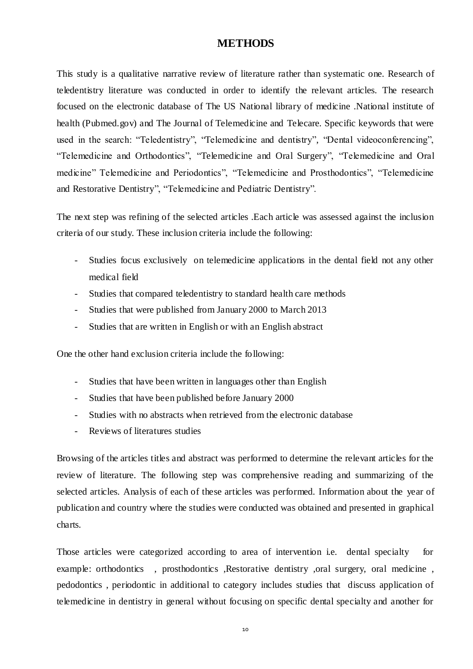## **METHODS**

This study is a qualitative narrative review of literature rather than systematic one. Research of teledentistry literature was conducted in order to identify the relevant articles. The research focused on the electronic database of The US National library of medicine .National institute of health (Pubmed.gov) and The Journal of Telemedicine and Telecare. Specific keywords that were used in the search: "Teledentistry", "Telemedicine and dentistry", "Dental videoconferencing", "Telemedicine and Orthodontics", "Telemedicine and Oral Surgery", "Telemedicine and Oral medicine" Telemedicine and Periodontics", "Telemedicine and Prosthodontics", "Telemedicine and Restorative Dentistry", "Telemedicine and Pediatric Dentistry".

The next step was refining of the selected articles .Each article was assessed against the inclusion criteria of our study. These inclusion criteria include the following:

- Studies focus exclusively on telemedicine applications in the dental field not any other medical field
- Studies that compared teledentistry to standard health care methods
- Studies that were published from January 2000 to March 2013
- Studies that are written in English or with an English abstract

One the other hand exclusion criteria include the following:

- Studies that have been written in languages other than English
- Studies that have been published before January 2000
- Studies with no abstracts when retrieved from the electronic database
- Reviews of literatures studies

Browsing of the articles titles and abstract was performed to determine the relevant articles for the review of literature. The following step was comprehensive reading and summarizing of the selected articles. Analysis of each of these articles was performed. Information about the year of publication and country where the studies were conducted was obtained and presented in graphical charts.

Those articles were categorized according to area of intervention i.e. dental specialty for example: orthodontics , prosthodontics ,Restorative dentistry ,oral surgery, oral medicine, pedodontics , periodontic in additional to category includes studies that discuss application of telemedicine in dentistry in general without focusing on specific dental specialty and another for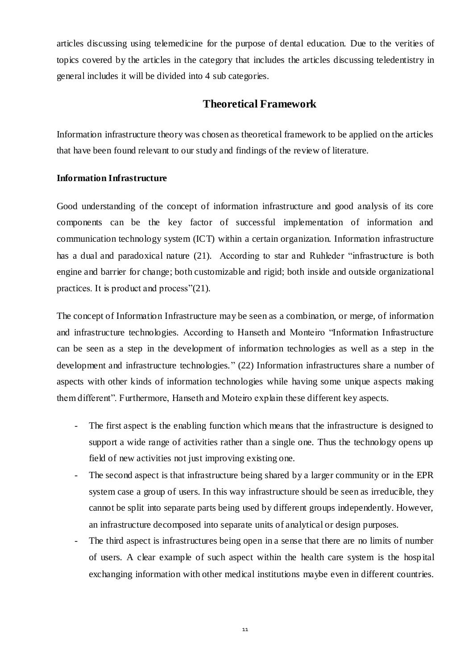articles discussing using telemedicine for the purpose of dental education. Due to the verities of topics covered by the articles in the category that includes the articles discussing teledentistry in general includes it will be divided into 4 sub categories.

## **Theoretical Framework**

Information infrastructure theory was chosen as theoretical framework to be applied on the articles that have been found relevant to our study and findings of the review of literature.

#### **Information Infrastructure**

Good understanding of the concept of information infrastructure and good analysis of its core components can be the key factor of successful implementation of information and communication technology system (ICT) within a certain organization. Information infrastructure has a dual and paradoxical nature (21). According to star and Ruhleder "infrastructure is both engine and barrier for change; both customizable and rigid; both inside and outside organizational practices. It is product and process"(21).

The concept of Information Infrastructure may be seen as a combination, or merge, of information and infrastructure technologies. According to Hanseth and Monteiro "Information Infrastructure can be seen as a step in the development of information technologies as well as a step in the development and infrastructure technologies." (22) Information infrastructures share a number of aspects with other kinds of information technologies while having some unique aspects making them different". Furthermore, Hanseth and Moteiro explain these different key aspects.

- The first aspect is the enabling function which means that the infrastructure is designed to support a wide range of activities rather than a single one. Thus the technology opens up field of new activities not just improving existing one.
- The second aspect is that infrastructure being shared by a larger community or in the EPR system case a group of users. In this way infrastructure should be seen as irreducible, they cannot be split into separate parts being used by different groups independently. However, an infrastructure decomposed into separate units of analytical or design purposes.
- The third aspect is infrastructures being open in a sense that there are no limits of number of users. A clear example of such aspect within the health care system is the hosp ital exchanging information with other medical institutions maybe even in different countries.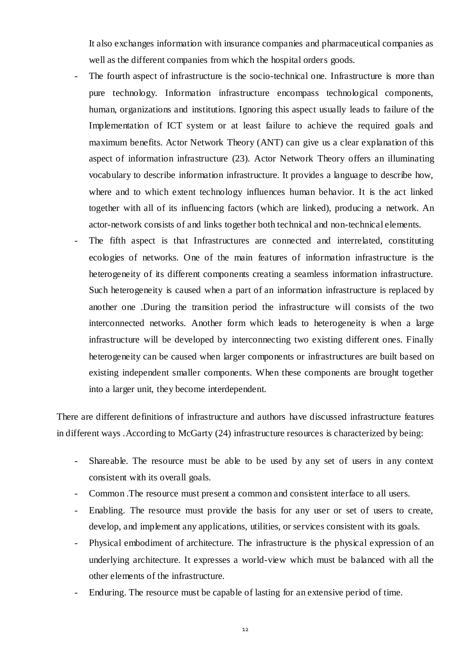It also exchanges information with insurance companies and pharmaceutical companies as well as the different companies from which the hospital orders goods.

- The fourth aspect of infrastructure is the socio-technical one. Infrastructure is more than pure technology. Information infrastructure encompass technological components, human, organizations and institutions. Ignoring this aspect usually leads to failure of the Implementation of ICT system or at least failure to achieve the required goals and maximum benefits. Actor Network Theory (ANT) can give us a clear explanation of this aspect of information infrastructure (23). Actor Network Theory offers an illuminating vocabulary to describe information infrastructure. It provides a language to describe how, where and to which extent technology influences human behavior. It is the act linked together with all of its influencing factors (which are linked), producing a network. An actor-network consists of and links together both technical and non-technical elements.
- The fifth aspect is that Infrastructures are connected and interrelated, constituting ecologies of networks. One of the main features of information infrastructure is the heterogeneity of its different components creating a seamless information infrastructure. Such heterogeneity is caused when a part of an information infrastructure is replaced by another one .During the transition period the infrastructure will consists of the two interconnected networks. Another form which leads to heterogeneity is when a large infrastructure will be developed by interconnecting two existing different ones. Finally heterogeneity can be caused when larger components or infrastructures are built based on existing independent smaller components. When these components are brought together into a larger unit, they become interdependent.

There are different definitions of infrastructure and authors have discussed infrastructure features in different ways .According to McGarty (24) infrastructure resources is characterized by being:

- Shareable. The resource must be able to be used by any set of users in any context consistent with its overall goals.
- Common .The resource must present a common and consistent interface to all users.
- Enabling. The resource must provide the basis for any user or set of users to create, develop, and implement any applications, utilities, or services consistent with its goals.
- Physical embodiment of architecture. The infrastructure is the physical expression of an underlying architecture. It expresses a world-view which must be balanced with all the other elements of the infrastructure.
- Enduring. The resource must be capable of lasting for an extensive period of time.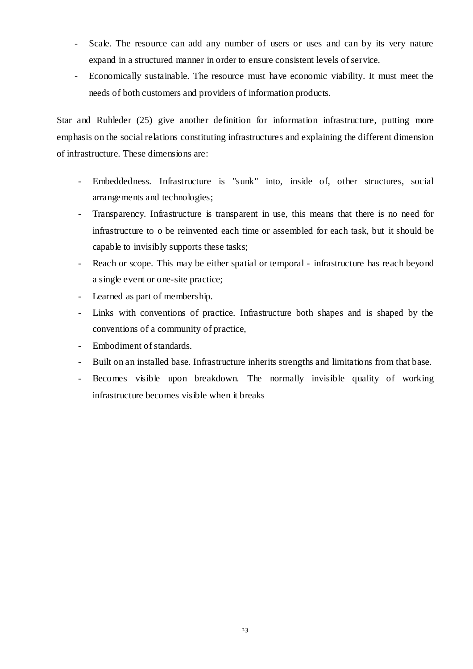- Scale. The resource can add any number of users or uses and can by its very nature expand in a structured manner in order to ensure consistent levels of service.
- Economically sustainable. The resource must have economic viability. It must meet the needs of both customers and providers of information products.

Star and Ruhleder (25) give another definition for information infrastructure, putting more emphasis on the social relations constituting infrastructures and explaining the different dimension of infrastructure. These dimensions are:

- Embeddedness. Infrastructure is "sunk" into, inside of, other structures, social arrangements and technologies;
- Transparency. Infrastructure is transparent in use, this means that there is no need for infrastructure to o be reinvented each time or assembled for each task, but it should be capable to invisibly supports these tasks;
- Reach or scope. This may be either spatial or temporal infrastructure has reach beyond a single event or one-site practice;
- Learned as part of membership.
- Links with conventions of practice. Infrastructure both shapes and is shaped by the conventions of a community of practice,
- Embodiment of standards.
- Built on an installed base. Infrastructure inherits strengths and limitations from that base.
- Becomes visible upon breakdown. The normally invisible quality of working infrastructure becomes visible when it breaks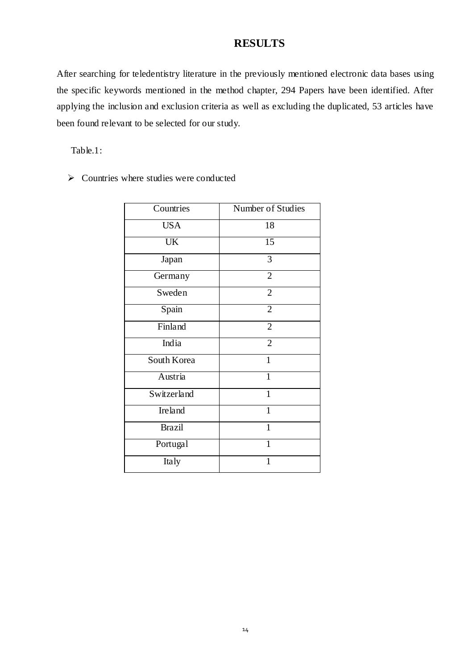## **RESULTS**

After searching for teledentistry literature in the previously mentioned electronic data bases using the specific keywords mentioned in the method chapter, 294 Papers have been identified. After applying the inclusion and exclusion criteria as well as excluding the duplicated, 53 articles have been found relevant to be selected for our study.

Table.1:

 $\triangleright$  Countries where studies were conducted

| Countries     | Number of Studies |
|---------------|-------------------|
| <b>USA</b>    | 18                |
| <b>UK</b>     | 15                |
| Japan         | 3                 |
| Germany       | $\overline{2}$    |
| Sweden        | $\overline{2}$    |
| Spain         | $\overline{2}$    |
| Finland       | $\overline{2}$    |
| India         | $\overline{2}$    |
| South Korea   | $\mathbf{1}$      |
| Austria       | $\mathbf{1}$      |
| Switzerland   | 1                 |
| Ireland       | $\mathbf{1}$      |
| <b>Brazil</b> | $\mathbf{1}$      |
| Portugal      | 1                 |
| Italy         | 1                 |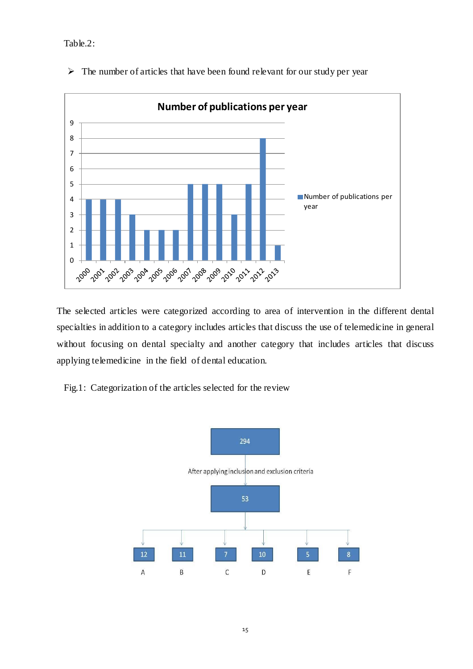Table.2:



 $\triangleright$  The number of articles that have been found relevant for our study per year

The selected articles were categorized according to area of intervention in the different dental specialties in addition to a category includes articles that discuss the use of telemedicine in general without focusing on dental specialty and another category that includes articles that discuss applying telemedicine in the field of dental education.

Fig.1: Categorization of the articles selected for the review

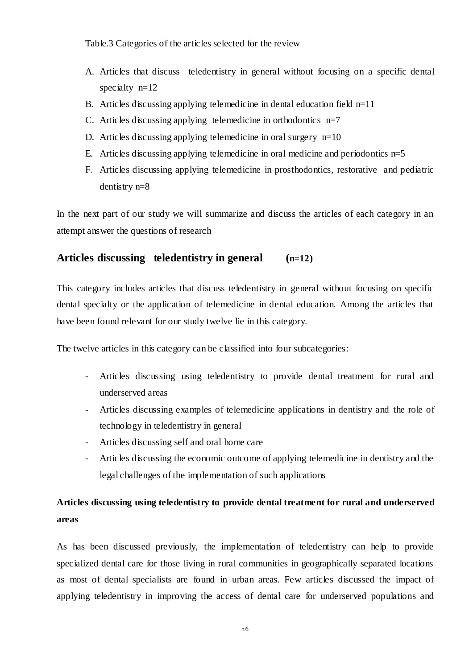Table.3 Categories of the articles selected for the review

- A. Articles that discuss teledentistry in general without focusing on a specific dental specialty n=12
- B. Articles discussing applying telemedicine in dental education field  $n=11$
- C. Articles discussing applying telemedicine in orthodontics  $n=7$
- D. Articles discussing applying telemedicine in oral surgery  $n=10$
- E. Articles discussing applying telemedicine in oral medicine and periodontics  $n=5$
- F. Articles discussing applying telemedicine in prosthodontics, restorative and pediatric dentistry n=8

In the next part of our study we will summarize and discuss the articles of each category in an attempt answer the questions of research

## **Articles discussing teledentistry in general (n=12)**

This category includes articles that discuss teledentistry in general without focusing on specific dental specialty or the application of telemedicine in dental education. Among the articles that have been found relevant for our study twelve lie in this category.

The twelve articles in this category can be classified into four subcategories:

- Articles discussing using teledentistry to provide dental treatment for rural and underserved areas
- Articles discussing examples of telemedicine applications in dentistry and the role of technology in teledentistry in general
- Articles discussing self and oral home care
- Articles discussing the economic outcome of applying telemedicine in dentistry and the legal challenges of the implementation of such applications

# **Articles discussing using teledentistry to provide dental treatment for rural and underserved areas**

As has been discussed previously, the implementation of teledentistry can help to provide specialized dental care for those living in rural communities in geographically separated locations as most of dental specialists are found in urban areas. Few articles discussed the impact of applying teledentistry in improving the access of dental care for underserved populations and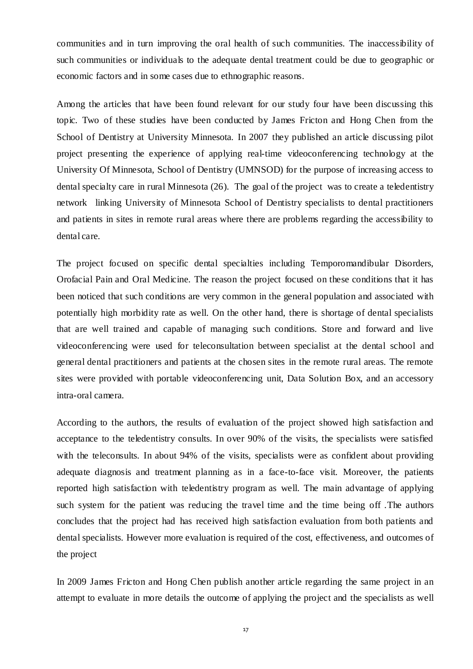communities and in turn improving the oral health of such communities. The inaccessibility of such communities or individuals to the adequate dental treatment could be due to geographic or economic factors and in some cases due to ethnographic reasons.

Among the articles that have been found relevant for our study four have been discussing this topic. Two of these studies have been conducted by James Fricton and Hong Chen from the School of Dentistry at University Minnesota. In 2007 they published an article discussing pilot project presenting the experience of applying real-time videoconferencing technology at the University Of Minnesota, School of Dentistry (UMNSOD) for the purpose of increasing access to dental specialty care in rural Minnesota (26). The goal of the project was to create a teledentistry network linking University of Minnesota School of Dentistry specialists to dental practitioners and patients in sites in remote rural areas where there are problems regarding the accessibility to dental care.

The project focused on specific dental specialties including Temporomandibular Disorders, Orofacial Pain and Oral Medicine. The reason the project focused on these conditions that it has been noticed that such conditions are very common in the general population and associated with potentially high morbidity rate as well. On the other hand, there is shortage of dental specialists that are well trained and capable of managing such conditions. Store and forward and live videoconferencing were used for teleconsultation between specialist at the dental school and general dental practitioners and patients at the chosen sites in the remote rural areas. The remote sites were provided with portable videoconferencing unit, Data Solution Box, and an accessory intra-oral camera.

According to the authors, the results of evaluation of the project showed high satisfaction and acceptance to the teledentistry consults. In over 90% of the visits, the specialists were satisfied with the teleconsults. In about 94% of the visits, specialists were as confident about providing adequate diagnosis and treatment planning as in a face-to-face visit. Moreover, the patients reported high satisfaction with teledentistry program as well. The main advantage of applying such system for the patient was reducing the travel time and the time being off .The authors concludes that the project had has received high satisfaction evaluation from both patients and dental specialists. However more evaluation is required of the cost, effectiveness, and outcomes of the project

In 2009 James Fricton and Hong Chen publish another article regarding the same project in an attempt to evaluate in more details the outcome of applying the project and the specialists as well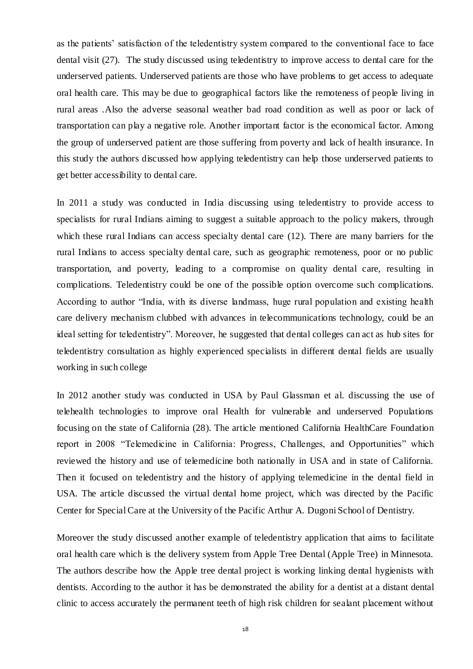as the patients' satisfaction of the teledentistry system compared to the conventional face to face dental visit (27). The study discussed using teledentistry to improve access to dental care for the underserved patients. Underserved patients are those who have problems to get access to adequate oral health care. This may be due to geographical factors like the remoteness of people living in rural areas .Also the adverse seasonal weather bad road condition as well as poor or lack of transportation can play a negative role. Another important factor is the economical factor. Among the group of underserved patient are those suffering from poverty and lack of health insurance. In this study the authors discussed how applying teledentistry can help those underserved patients to get better accessibility to dental care.

In 2011 a study was conducted in India discussing using teledentistry to provide access to specialists for rural Indians aiming to suggest a suitable approach to the policy makers, through which these rural Indians can access specialty dental care (12). There are many barriers for the rural Indians to access specialty dental care, such as geographic remoteness, poor or no public transportation, and poverty, leading to a compromise on quality dental care, resulting in complications. Teledentistry could be one of the possible option overcome such complications. According to author "India, with its diverse landmass, huge rural population and existing health care delivery mechanism clubbed with advances in telecommunications technology, could be an ideal setting for teledentistry". Moreover, he suggested that dental colleges can act as hub sites for teledentistry consultation as highly experienced specialists in different dental fields are usually working in such college

In 2012 another study was conducted in USA by Paul Glassman et al. discussing the use of telehealth technologies to improve oral Health for vulnerable and underserved Populations focusing on the state of California (28). The article mentioned California HealthCare Foundation report in 2008 "Telemedicine in California: Progress, Challenges, and Opportunities" which reviewed the history and use of telemedicine both nationally in USA and in state of California. Then it focused on teledentistry and the history of applying telemedicine in the dental field in USA. The article discussed the virtual dental home project, which was directed by the Pacific Center for Special Care at the University of the Pacific Arthur A. Dugoni School of Dentistry.

Moreover the study discussed another example of teledentistry application that aims to facilitate oral health care which is the delivery system from Apple Tree Dental (Apple Tree) in Minnesota. The authors describe how the Apple tree dental project is working linking dental hygienists with dentists. According to the author it has be demonstrated the ability for a dentist at a distant dental clinic to access accurately the permanent teeth of high risk children for sealant placement without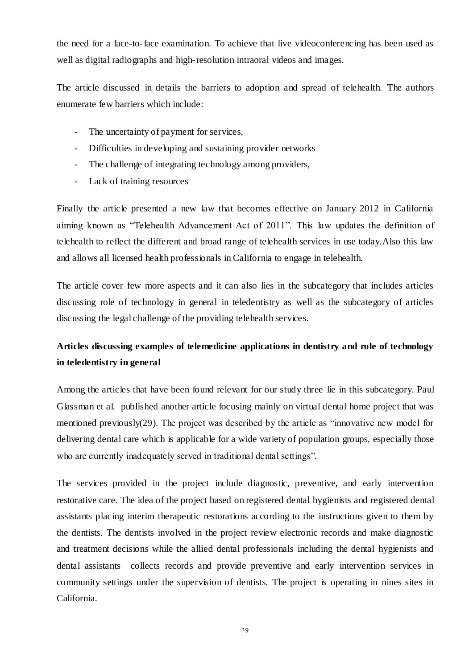the need for a face-to-face examination. To achieve that live videoconferencing has been used as well as digital radiographs and high-resolution intraoral videos and images.

The article discussed in details the barriers to adoption and spread of telehealth. The authors enumerate few barriers which include:

- The uncertainty of payment for services,
- Difficulties in developing and sustaining provider networks
- The challenge of integrating technology among providers,
- Lack of training resources

Finally the article presented a new law that becomes effective on January 2012 in California aiming known as "Telehealth Advancement Act of 2011". This law updates the definition of telehealth to reflect the different and broad range of telehealth services in use today.Also this law and allows all licensed health professionals in California to engage in telehealth.

The article cover few more aspects and it can also lies in the subcategory that includes articles discussing role of technology in general in teledentistry as well as the subcategory of articles discussing the legal challenge of the providing telehealth services.

# **Articles discussing examples of telemedicine applications in dentistry and role of technology in teledentistry in general**

Among the articles that have been found relevant for our study three lie in this subcategory. Paul Glassman et al. published another article focusing mainly on virtual dental home project that was mentioned previously(29). The project was described by the article as "innovative new model for delivering dental care which is applicable for a wide variety of population groups, especially those who are currently inadequately served in traditional dental settings".

The services provided in the project include diagnostic, preventive, and early intervention restorative care. The idea of the project based on registered dental hygienists and registered dental assistants placing interim therapeutic restorations according to the instructions given to them by the dentists. The dentists involved in the project review electronic records and make diagnostic and treatment decisions while the allied dental professionals including the dental hygienists and dental assistants collects records and provide preventive and early intervention services in community settings under the supervision of dentists. The project is operating in nines sites in California.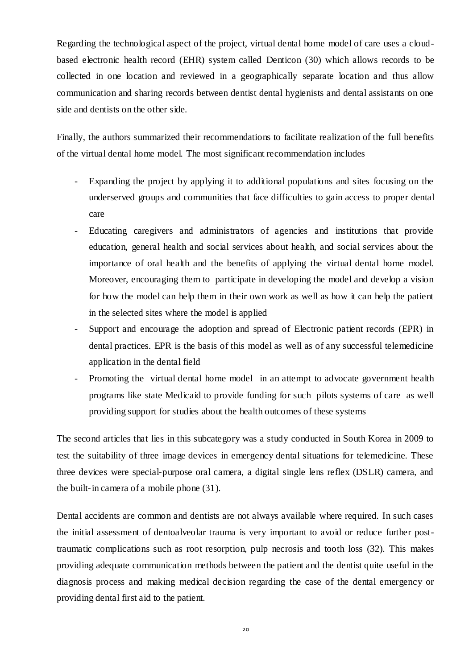Regarding the technological aspect of the project, virtual dental home model of care uses a cloudbased electronic health record (EHR) system called Denticon (30) which allows records to be collected in one location and reviewed in a geographically separate location and thus allow communication and sharing records between dentist dental hygienists and dental assistants on one side and dentists on the other side.

Finally, the authors summarized their recommendations to facilitate realization of the full benefits of the virtual dental home model. The most significant recommendation includes

- Expanding the project by applying it to additional populations and sites focusing on the underserved groups and communities that face difficulties to gain access to proper dental care
- Educating caregivers and administrators of agencies and institutions that provide education, general health and social services about health, and social services about the importance of oral health and the benefits of applying the virtual dental home model. Moreover, encouraging them to participate in developing the model and develop a vision for how the model can help them in their own work as well as how it can help the patient in the selected sites where the model is applied
- Support and encourage the adoption and spread of Electronic patient records (EPR) in dental practices. EPR is the basis of this model as well as of any successful telemedicine application in the dental field
- Promoting the virtual dental home model in an attempt to advocate government health programs like state Medicaid to provide funding for such pilots systems of care as well providing support for studies about the health outcomes of these systems

The second articles that lies in this subcategory was a study conducted in South Korea in 2009 to test the suitability of three image devices in emergency dental situations for telemedicine. These three devices were special-purpose oral camera, a digital single lens reflex (DSLR) camera, and the built-in camera of a mobile phone (31).

Dental accidents are common and dentists are not always available where required. In such cases the initial assessment of dentoalveolar trauma is very important to avoid or reduce further posttraumatic complications such as root resorption, pulp necrosis and tooth loss (32). This makes providing adequate communication methods between the patient and the dentist quite useful in the diagnosis process and making medical decision regarding the case of the dental emergency or providing dental first aid to the patient.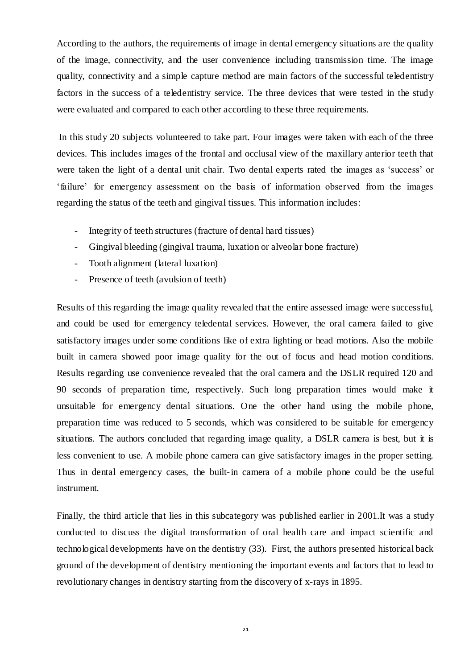According to the authors, the requirements of image in dental emergency situations are the quality of the image, connectivity, and the user convenience including transmission time. The image quality, connectivity and a simple capture method are main factors of the successful teledentistry factors in the success of a teledentistry service. The three devices that were tested in the study were evaluated and compared to each other according to these three requirements.

In this study 20 subjects volunteered to take part. Four images were taken with each of the three devices. This includes images of the frontal and occlusal view of the maxillary anterior teeth that were taken the light of a dental unit chair. Two dental experts rated the images as 'success' or 'failure' for emergency assessment on the basis of information observed from the images regarding the status of the teeth and gingival tissues. This information includes:

- Integrity of teeth structures (fracture of dental hard tissues)
- Gingival bleeding (gingival trauma, luxation or alveolar bone fracture)
- Tooth alignment (lateral luxation)
- Presence of teeth (avulsion of teeth)

Results of this regarding the image quality revealed that the entire assessed image were successful, and could be used for emergency teledental services. However, the oral camera failed to give satisfactory images under some conditions like of extra lighting or head motions. Also the mobile built in camera showed poor image quality for the out of focus and head motion conditions. Results regarding use convenience revealed that the oral camera and the DSLR required 120 and 90 seconds of preparation time, respectively. Such long preparation times would make it unsuitable for emergency dental situations. One the other hand using the mobile phone, preparation time was reduced to 5 seconds, which was considered to be suitable for emergency situations. The authors concluded that regarding image quality, a DSLR camera is best, but it is less convenient to use. A mobile phone camera can give satisfactory images in the proper setting. Thus in dental emergency cases, the built-in camera of a mobile phone could be the useful instrument.

Finally, the third article that lies in this subcategory was published earlier in 2001.It was a study conducted to discuss the digital transformation of oral health care and impact scientific and technological developments have on the dentistry (33). First, the authors presented historical back ground of the development of dentistry mentioning the important events and factors that to lead to revolutionary changes in dentistry starting from the discovery of x-rays in 1895.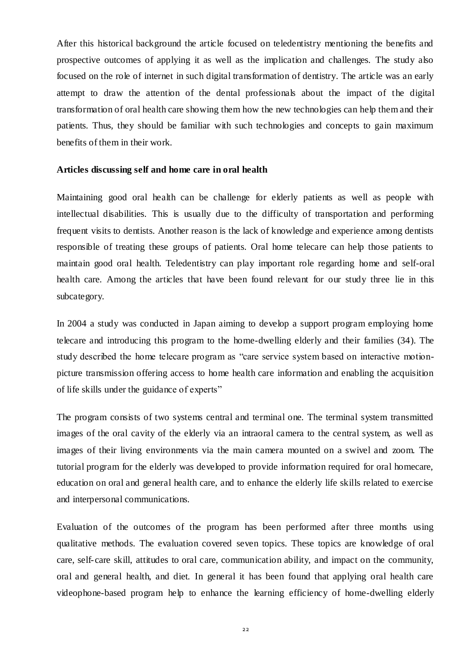After this historical background the article focused on teledentistry mentioning the benefits and prospective outcomes of applying it as well as the implication and challenges. The study also focused on the role of internet in such digital transformation of dentistry. The article was an early attempt to draw the attention of the dental professionals about the impact of the digital transformation of oral health care showing them how the new technologies can help them and their patients. Thus, they should be familiar with such technologies and concepts to gain maximum benefits of them in their work.

#### **Articles discussing self and home care in oral health**

Maintaining good oral health can be challenge for elderly patients as well as people with intellectual disabilities. This is usually due to the difficulty of transportation and performing frequent visits to dentists. Another reason is the lack of knowledge and experience among dentists responsible of treating these groups of patients. Oral home telecare can help those patients to maintain good oral health. Teledentistry can play important role regarding home and self-oral health care. Among the articles that have been found relevant for our study three lie in this subcategory.

In 2004 a study was conducted in Japan aiming to develop a support program employing home telecare and introducing this program to the home-dwelling elderly and their families (34). The study described the home telecare program as "care service system based on interactive motionpicture transmission offering access to home health care information and enabling the acquisition of life skills under the guidance of experts"

The program consists of two systems central and terminal one. The terminal system transmitted images of the oral cavity of the elderly via an intraoral camera to the central system, as well as images of their living environments via the main camera mounted on a swivel and zoom. The tutorial program for the elderly was developed to provide information required for oral homecare, education on oral and general health care, and to enhance the elderly life skills related to exercise and interpersonal communications.

Evaluation of the outcomes of the program has been performed after three months using qualitative methods. The evaluation covered seven topics. These topics are knowledge of oral care, self-care skill, attitudes to oral care, communication ability, and impact on the community, oral and general health, and diet. In general it has been found that applying oral health care videophone-based program help to enhance the learning efficiency of home-dwelling elderly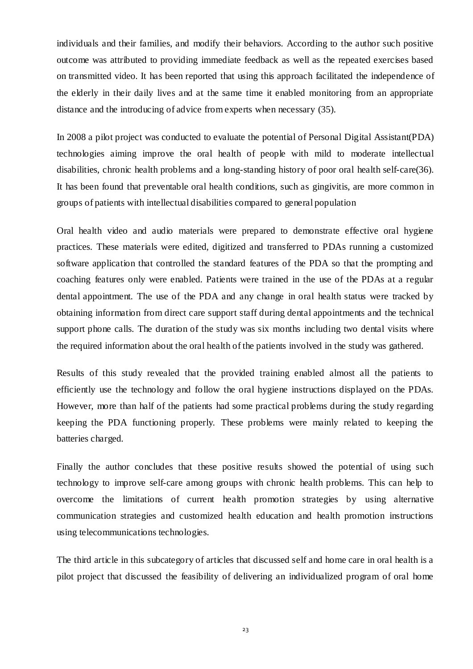individuals and their families, and modify their behaviors. According to the author such positive outcome was attributed to providing immediate feedback as well as the repeated exercises based on transmitted video. It has been reported that using this approach facilitated the independence of the elderly in their daily lives and at the same time it enabled monitoring from an appropriate distance and the introducing of advice from experts when necessary (35).

In 2008 a pilot project was conducted to evaluate the potential of Personal Digital Assistant(PDA) technologies aiming improve the oral health of people with mild to moderate intellectual disabilities, chronic health problems and a long-standing history of poor oral health self-care(36). It has been found that preventable oral health conditions, such as gingivitis, are more common in groups of patients with intellectual disabilities compared to general population

Oral health video and audio materials were prepared to demonstrate effective oral hygiene practices. These materials were edited, digitized and transferred to PDAs running a customized software application that controlled the standard features of the PDA so that the prompting and coaching features only were enabled. Patients were trained in the use of the PDAs at a regular dental appointment. The use of the PDA and any change in oral health status were tracked by obtaining information from direct care support staff during dental appointments and the technical support phone calls. The duration of the study was six months including two dental visits where the required information about the oral health of the patients involved in the study was gathered.

Results of this study revealed that the provided training enabled almost all the patients to efficiently use the technology and follow the oral hygiene instructions displayed on the PDAs. However, more than half of the patients had some practical problems during the study regarding keeping the PDA functioning properly. These problems were mainly related to keeping the batteries charged.

Finally the author concludes that these positive results showed the potential of using such technology to improve self-care among groups with chronic health problems. This can help to overcome the limitations of current health promotion strategies by using alternative communication strategies and customized health education and health promotion instructions using telecommunications technologies.

The third article in this subcategory of articles that discussed self and home care in oral health is a pilot project that discussed the feasibility of delivering an individualized program of oral home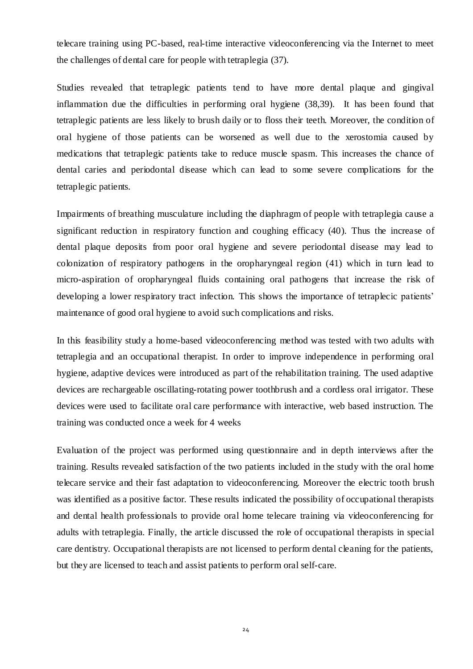telecare training using PC-based, real-time interactive videoconferencing via the Internet to meet the challenges of dental care for people with tetraplegia (37).

Studies revealed that tetraplegic patients tend to have more dental plaque and gingival inflammation due the difficulties in performing oral hygiene (38,39). It has been found that tetraplegic patients are less likely to brush daily or to floss their teeth. Moreover, the condition of oral hygiene of those patients can be worsened as well due to the xerostomia caused by medications that tetraplegic patients take to reduce muscle spasm. This increases the chance of dental caries and periodontal disease which can lead to some severe complications for the tetraplegic patients.

Impairments of breathing musculature including the diaphragm of people with tetraplegia cause a significant reduction in respiratory function and coughing efficacy (40). Thus the increase of dental plaque deposits from poor oral hygiene and severe periodontal disease may lead to colonization of respiratory pathogens in the oropharyngeal region (41) which in turn lead to micro-aspiration of oropharyngeal fluids containing oral pathogens that increase the risk of developing a lower respiratory tract infection. This shows the importance of tetraplecic patients' maintenance of good oral hygiene to avoid such complications and risks.

In this feasibility study a home-based videoconferencing method was tested with two adults with tetraplegia and an occupational therapist. In order to improve independence in performing oral hygiene, adaptive devices were introduced as part of the rehabilitation training. The used adaptive devices are rechargeable oscillating-rotating power toothbrush and a cordless oral irrigator. These devices were used to facilitate oral care performance with interactive, web based instruction. The training was conducted once a week for 4 weeks

Evaluation of the project was performed using questionnaire and in depth interviews after the training. Results revealed satisfaction of the two patients included in the study with the oral home telecare service and their fast adaptation to videoconferencing. Moreover the electric tooth brush was identified as a positive factor. These results indicated the possibility of occupational therapists and dental health professionals to provide oral home telecare training via videoconferencing for adults with tetraplegia. Finally, the article discussed the role of occupational therapists in special care dentistry. Occupational therapists are not licensed to perform dental cleaning for the patients, but they are licensed to teach and assist patients to perform oral self-care.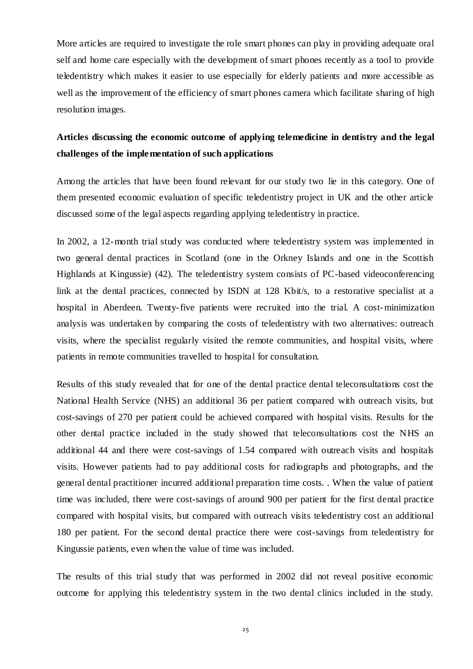More articles are required to investigate the role smart phones can play in providing adequate oral self and home care especially with the development of smart phones recently as a tool to provide teledentistry which makes it easier to use especially for elderly patients and more accessible as well as the improvement of the efficiency of smart phones camera which facilitate sharing of high resolution images.

# **Articles discussing the economic outcome of applying telemedicine in dentistry and the legal challenges of the implementation of such applications**

Among the articles that have been found relevant for our study two lie in this category. One of them presented economic evaluation of specific teledentistry project in UK and the other article discussed some of the legal aspects regarding applying teledentistry in practice.

In 2002, a 12-month trial study was conducted where teledentistry system was implemented in two general dental practices in Scotland (one in the Orkney Islands and one in the Scottish Highlands at Kingussie) (42). The teledentistry system consists of PC-based videoconferencing link at the dental practices, connected by ISDN at 128 Kbit/s, to a restorative specialist at a hospital in Aberdeen. Twenty-five patients were recruited into the trial. A cost-minimization analysis was undertaken by comparing the costs of teledentistry with two alternatives: outreach visits, where the specialist regularly visited the remote communities, and hospital visits, where patients in remote communities travelled to hospital for consultation.

Results of this study revealed that for one of the dental practice dental teleconsultations cost the National Health Service (NHS) an additional 36 per patient compared with outreach visits, but cost-savings of 270 per patient could be achieved compared with hospital visits. Results for the other dental practice included in the study showed that teleconsultations cost the NHS an additional 44 and there were cost-savings of 1.54 compared with outreach visits and hospitals visits. However patients had to pay additional costs for radiographs and photographs, and the general dental practitioner incurred additional preparation time costs. . When the value of patient time was included, there were cost-savings of around 900 per patient for the first dental practice compared with hospital visits, but compared with outreach visits teledentistry cost an additional 180 per patient. For the second dental practice there were cost-savings from teledentistry for Kingussie patients, even when the value of time was included.

The results of this trial study that was performed in 2002 did not reveal positive economic outcome for applying this teledentistry system in the two dental clinics included in the study.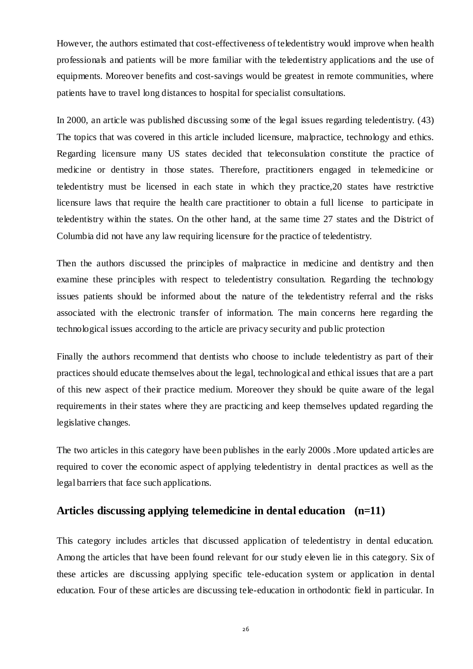However, the authors estimated that cost-effectiveness of teledentistry would improve when health professionals and patients will be more familiar with the teledentistry applications and the use of equipments. Moreover benefits and cost-savings would be greatest in remote communities, where patients have to travel long distances to hospital for specialist consultations.

In 2000, an article was published discussing some of the legal issues regarding teledentistry. (43) The topics that was covered in this article included licensure, malpractice, technology and ethics. Regarding licensure many US states decided that teleconsulation constitute the practice of medicine or dentistry in those states. Therefore, practitioners engaged in telemedicine or teledentistry must be licensed in each state in which they practice,20 states have restrictive licensure laws that require the health care practitioner to obtain a full license to participate in teledentistry within the states. On the other hand, at the same time 27 states and the District of Columbia did not have any law requiring licensure for the practice of teledentistry.

Then the authors discussed the principles of malpractice in medicine and dentistry and then examine these principles with respect to teledentistry consultation. Regarding the technology issues patients should be informed about the nature of the teledentistry referral and the risks associated with the electronic transfer of information. The main concerns here regarding the technological issues according to the article are privacy security and public protection

Finally the authors recommend that dentists who choose to include teledentistry as part of their practices should educate themselves about the legal, technological and ethical issues that are a part of this new aspect of their practice medium. Moreover they should be quite aware of the legal requirements in their states where they are practicing and keep themselves updated regarding the legislative changes.

The two articles in this category have been publishes in the early 2000s .More updated articles are required to cover the economic aspect of applying teledentistry in dental practices as well as the legal barriers that face such applications.

## **Articles discussing applying telemedicine in dental education (n=11)**

This category includes articles that discussed application of teledentistry in dental education. Among the articles that have been found relevant for our study eleven lie in this category. Six of these articles are discussing applying specific tele-education system or application in dental education. Four of these articles are discussing tele-education in orthodontic field in particular. In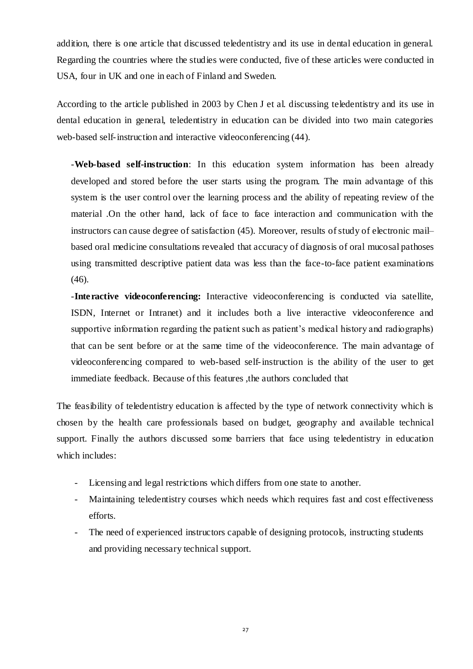addition, there is one article that discussed teledentistry and its use in dental education in general. Regarding the countries where the studies were conducted, five of these articles were conducted in USA, four in UK and one in each of Finland and Sweden.

According to the article published in 2003 by [Chen J](http://www.ncbi.nlm.nih.gov/pubmed?term=Chen%20JW%5BAuthor%5D&cauthor=true&cauthor_uid=12699048) et al. discussing teledentistry and its use in dental education in general, teledentistry in education can be divided into two main categories web-based self-instruction and interactive videoconferencing (44).

-**Web-based self-instruction**: In this education system information has been already developed and stored before the user starts using the program. The main advantage of this system is the user control over the learning process and the ability of repeating review of the material .On the other hand, lack of face to face interaction and communication with the instructors can cause degree of satisfaction (45). Moreover, results of study of electronic mail– based oral medicine consultations revealed that accuracy of diagnosis of oral mucosal pathoses using transmitted descriptive patient data was less than the face-to-face patient examinations (46).

-**Interactive videoconferencing:** Interactive videoconferencing is conducted via satellite, ISDN, Internet or Intranet) and it includes both a live interactive videoconference and supportive information regarding the patient such as patient's medical history and radiographs) that can be sent before or at the same time of the videoconference. The main advantage of videoconferencing compared to web-based self-instruction is the ability of the user to get immediate feedback. Because of this features ,the authors concluded that

The feasibility of teledentistry education is affected by the type of network connectivity which is chosen by the health care professionals based on budget, geography and available technical support. Finally the authors discussed some barriers that face using teledentistry in education which includes:

- Licensing and legal restrictions which differs from one state to another.
- Maintaining teledentistry courses which needs which requires fast and cost effectiveness efforts.
- The need of experienced instructors capable of designing protocols, instructing students and providing necessary technical support.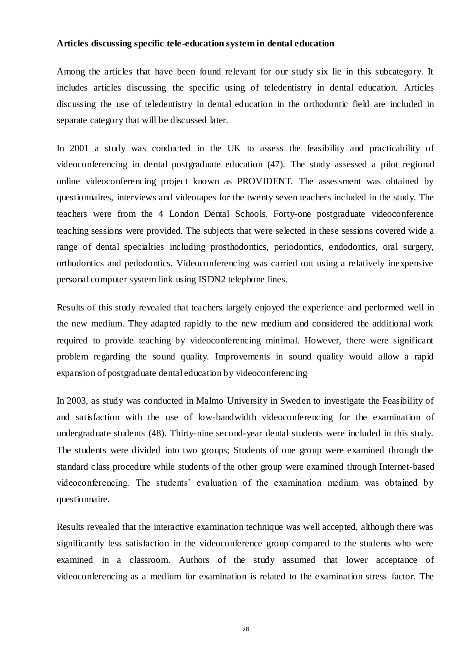#### **Articles discussing specific tele-education system in dental education**

Among the articles that have been found relevant for our study six lie in this subcategory. It includes articles discussing the specific using of teledentistry in dental education. Articles discussing the use of teledentistry in dental education in the orthodontic field are included in separate category that will be discussed later.

In 2001 a study was conducted in the UK to assess the feasibility and practicability of videoconferencing in dental postgraduate education (47). The study assessed a pilot regional online videoconferencing project known as PROVIDENT. The assessment was obtained by questionnaires, interviews and videotapes for the twenty seven teachers included in the study. The teachers were from the 4 London Dental Schools. Forty-one postgraduate videoconference teaching sessions were provided. The subjects that were selected in these sessions covered wide a range of dental specialties including prosthodontics, periodontics, endodontics, oral surgery, orthodontics and pedodontics. Videoconferencing was carried out using a relatively inexpensive personal computer system link using ISDN2 telephone lines.

Results of this study revealed that teachers largely enjoyed the experience and performed well in the new medium. They adapted rapidly to the new medium and considered the additional work required to provide teaching by videoconferencing minimal. However, there were significant problem regarding the sound quality. Improvements in sound quality would allow a rapid expansion of postgraduate dental education by videoconferencing

In 2003, as study was conducted in Malmo University in Sweden to investigate the Feasibility of and satisfaction with the use of low-bandwidth videoconferencing for the examination of undergraduate students (48). Thirty-nine second-year dental students were included in this study. The students were divided into two groups; Students of one group were examined through the standard class procedure while students of the other group were examined through Internet-based videoconferencing. The students' evaluation of the examination medium was obtained by questionnaire.

Results revealed that the interactive examination technique was well accepted, although there was significantly less satisfaction in the videoconference group compared to the students who were examined in a classroom. Authors of the study assumed that lower acceptance of videoconferencing as a medium for examination is related to the examination stress factor. The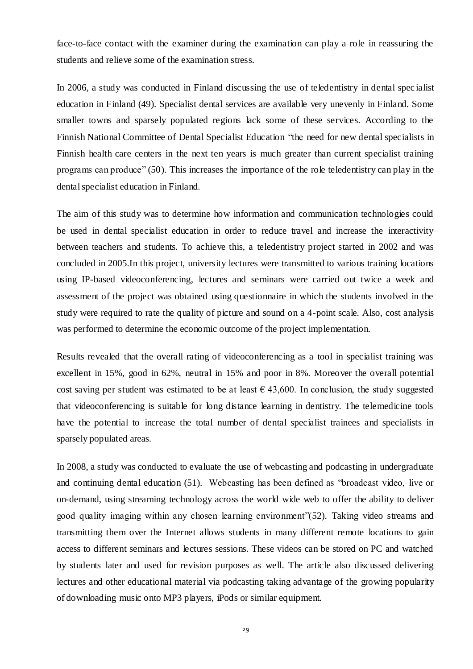face-to-face contact with the examiner during the examination can play a role in reassuring the students and relieve some of the examination stress.

In 2006, a study was conducted in Finland discussing the use of teledentistry in dental spec ialist education in Finland (49). Specialist dental services are available very unevenly in Finland. Some smaller towns and sparsely populated regions lack some of these services. According to the Finnish National Committee of Dental Specialist Education "the need for new dental specialists in Finnish health care centers in the next ten years is much greater than current specialist training programs can produce" (50). This increases the importance of the role teledentistry can play in the dental specialist education in Finland.

The aim of this study was to determine how information and communication technologies could be used in dental specialist education in order to reduce travel and increase the interactivity between teachers and students. To achieve this, a teledentistry project started in 2002 and was concluded in 2005.In this project, university lectures were transmitted to various training locations using IP-based videoconferencing, lectures and seminars were carried out twice a week and assessment of the project was obtained using questionnaire in which the students involved in the study were required to rate the quality of picture and sound on a 4-point scale. Also, cost analysis was performed to determine the economic outcome of the project implementation.

Results revealed that the overall rating of videoconferencing as a tool in specialist training was excellent in 15%, good in 62%, neutral in 15% and poor in 8%. Moreover the overall potential cost saving per student was estimated to be at least  $\epsilon$  43,600. In conclusion, the study suggested that videoconferencing is suitable for long distance learning in dentistry. The telemedicine tools have the potential to increase the total number of dental specialist trainees and specialists in sparsely populated areas.

In 2008, a study was conducted to evaluate the use of webcasting and podcasting in undergraduate and continuing dental education (51). Webcasting has been defined as "broadcast video, live or on-demand, using streaming technology across the world wide web to offer the ability to deliver good quality imaging within any chosen learning environment"(52). Taking video streams and transmitting them over the Internet allows students in many different remote locations to gain access to different seminars and lectures sessions. These videos can be stored on PC and watched by students later and used for revision purposes as well. The article also discussed delivering lectures and other educational material via podcasting taking advantage of the growing popularity of downloading music onto MP3 players, iPods or similar equipment.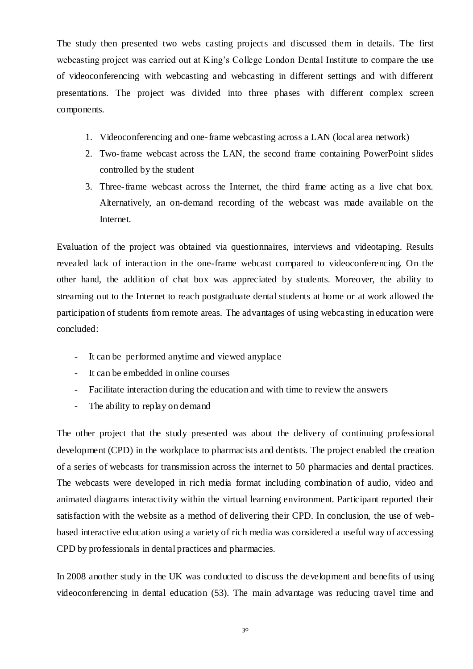The study then presented two webs casting projects and discussed them in details. The first webcasting project was carried out at King's College London Dental Institute to compare the use of videoconferencing with webcasting and webcasting in different settings and with different presentations. The project was divided into three phases with different complex screen components.

- 1. Videoconferencing and one-frame webcasting across a LAN (local area network)
- 2. Two-frame webcast across the LAN, the second frame containing PowerPoint slides controlled by the student
- 3. Three-frame webcast across the Internet, the third frame acting as a live chat box. Alternatively, an on-demand recording of the webcast was made available on the Internet.

Evaluation of the project was obtained via questionnaires, interviews and videotaping. Results revealed lack of interaction in the one-frame webcast compared to videoconferencing. On the other hand, the addition of chat box was appreciated by students. Moreover, the ability to streaming out to the Internet to reach postgraduate dental students at home or at work allowed the participation of students from remote areas. The advantages of using webcasting in education were concluded:

- It can be performed anytime and viewed anyplace
- It can be embedded in online courses
- Facilitate interaction during the education and with time to review the answers
- The ability to replay on demand

The other project that the study presented was about the delivery of continuing professional development (CPD) in the workplace to pharmacists and dentists. The project enabled the creation of a series of webcasts for transmission across the internet to 50 pharmacies and dental practices. The webcasts were developed in rich media format including combination of audio, video and animated diagrams interactivity within the virtual learning environment. Participant reported their satisfaction with the website as a method of delivering their CPD. In conclusion, the use of webbased interactive education using a variety of rich media was considered a useful way of accessing CPD by professionals in dental practices and pharmacies.

In 2008 another study in the UK was conducted to discuss the development and benefits of using videoconferencing in dental education (53). The main advantage was reducing travel time and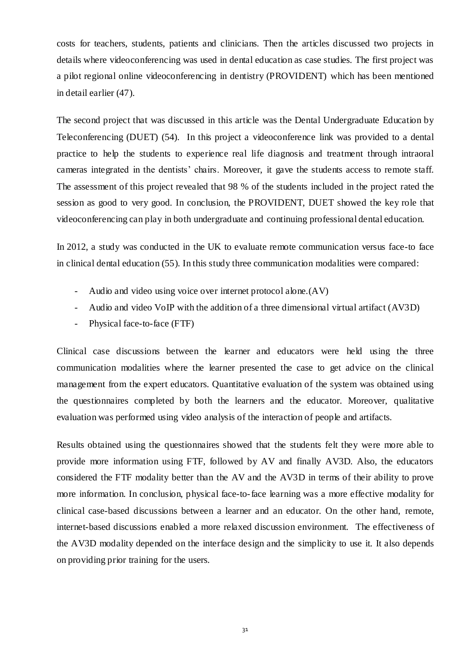costs for teachers, students, patients and clinicians. Then the articles discussed two projects in details where videoconferencing was used in dental education as case studies. The first project was a pilot regional online videoconferencing in dentistry (PROVIDENT) which has been mentioned in detail earlier (47).

The second project that was discussed in this article was the Dental Undergraduate Education by Teleconferencing (DUET) (54). In this project a videoconference link was provided to a dental practice to help the students to experience real life diagnosis and treatment through intraoral cameras integrated in the dentists' chairs. Moreover, it gave the students access to remote staff. The assessment of this project revealed that 98 % of the students included in the project rated the session as good to very good. In conclusion, the PROVIDENT, DUET showed the key role that videoconferencing can play in both undergraduate and continuing professional dental education.

In 2012, a study was conducted in the UK to evaluate remote communication versus face-to face in clinical dental education (55). In this study three communication modalities were compared:

- Audio and video using voice over internet protocol alone.(AV)
- Audio and video VoIP with the addition of a three dimensional virtual artifact (AV3D)
- Physical face-to-face (FTF)

Clinical case discussions between the learner and educators were held using the three communication modalities where the learner presented the case to get advice on the clinical management from the expert educators. Quantitative evaluation of the system was obtained using the questionnaires completed by both the learners and the educator. Moreover, qualitative evaluation was performed using video analysis of the interaction of people and artifacts.

Results obtained using the questionnaires showed that the students felt they were more able to provide more information using FTF, followed by AV and finally AV3D. Also, the educators considered the FTF modality better than the AV and the AV3D in terms of their ability to prove more information. In conclusion, physical face-to-face learning was a more effective modality for clinical case-based discussions between a learner and an educator. On the other hand, remote, internet-based discussions enabled a more relaxed discussion environment. The effectiveness of the AV3D modality depended on the interface design and the simplicity to use it. It also depends on providing prior training for the users.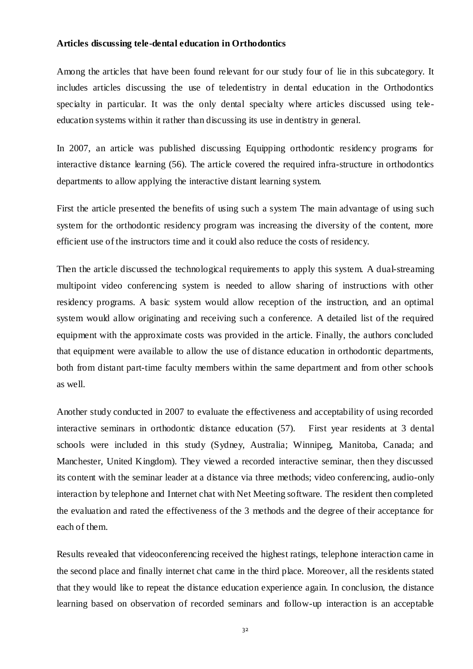#### **Articles discussing tele-dental education in Orthodontics**

Among the articles that have been found relevant for our study four of lie in this subcategory. It includes articles discussing the use of teledentistry in dental education in the Orthodontics specialty in particular. It was the only dental specialty where articles discussed using teleeducation systems within it rather than discussing its use in dentistry in general.

In 2007, an article was published discussing Equipping orthodontic residency programs for interactive distance learning (56). The article covered the required infra-structure in orthodontics departments to allow applying the interactive distant learning system.

First the article presented the benefits of using such a system The main advantage of using such system for the orthodontic residency program was increasing the diversity of the content, more efficient use of the instructors time and it could also reduce the costs of residency.

Then the article discussed the technological requirements to apply this system. A dual-streaming multipoint video conferencing system is needed to allow sharing of instructions with other residency programs. A basic system would allow reception of the instruction, and an optimal system would allow originating and receiving such a conference. A detailed list of the required equipment with the approximate costs was provided in the article. Finally, the authors concluded that equipment were available to allow the use of distance education in orthodontic departments, both from distant part-time faculty members within the same department and from other schools as well.

Another study conducted in 2007 to evaluate the effectiveness and acceptability of using recorded interactive seminars in orthodontic distance education (57). First year residents at 3 dental schools were included in this study (Sydney, Australia; Winnipeg, Manitoba, Canada; and Manchester, United Kingdom). They viewed a recorded interactive seminar, then they discussed its content with the seminar leader at a distance via three methods; video conferencing, audio-only interaction by telephone and Internet chat with Net Meeting software. The resident then completed the evaluation and rated the effectiveness of the 3 methods and the degree of their acceptance for each of them.

Results revealed that videoconferencing received the highest ratings, telephone interaction came in the second place and finally internet chat came in the third place. Moreover, all the residents stated that they would like to repeat the distance education experience again. In conclusion, the distance learning based on observation of recorded seminars and follow-up interaction is an acceptable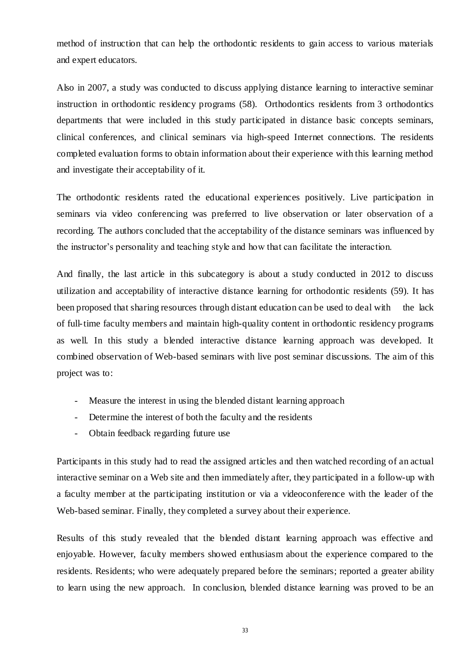method of instruction that can help the orthodontic residents to gain access to various materials and expert educators.

Also in 2007, a study was conducted to discuss applying distance learning to interactive seminar instruction in orthodontic residency programs (58). Orthodontics residents from 3 orthodontics departments that were included in this study participated in distance basic concepts seminars, clinical conferences, and clinical seminars via high-speed Internet connections. The residents completed evaluation forms to obtain information about their experience with this learning method and investigate their acceptability of it.

The orthodontic residents rated the educational experiences positively. Live participation in seminars via video conferencing was preferred to live observation or later observation of a recording. The authors concluded that the acceptability of the distance seminars was influenced by the instructor's personality and teaching style and how that can facilitate the interaction.

And finally, the last article in this subcategory is about a study conducted in 2012 to discuss utilization and acceptability of interactive distance learning for orthodontic residents (59). It has been proposed that sharing resources through distant education can be used to deal with the lack of full-time faculty members and maintain high-quality content in orthodontic residency programs as well. In this study a blended interactive distance learning approach was developed. It combined observation of Web-based seminars with live post seminar discussions. The aim of this project was to:

- Measure the interest in using the blended distant learning approach
- Determine the interest of both the faculty and the residents
- Obtain feedback regarding future use

Participants in this study had to read the assigned articles and then watched recording of an actual interactive seminar on a Web site and then immediately after, they participated in a follow-up with a faculty member at the participating institution or via a videoconference with the leader of the Web-based seminar. Finally, they completed a survey about their experience.

Results of this study revealed that the blended distant learning approach was effective and enjoyable. However, faculty members showed enthusiasm about the experience compared to the residents. Residents; who were adequately prepared before the seminars; reported a greater ability to learn using the new approach. In conclusion, blended distance learning was proved to be an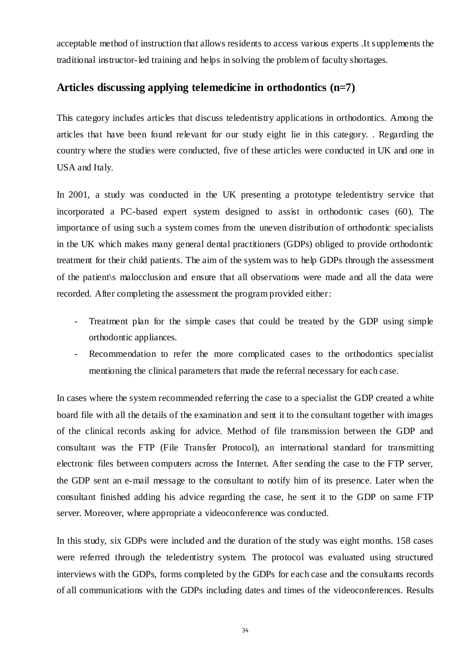acceptable method of instruction that allows residents to access various experts .It supplements the traditional instructor-led training and helps in solving the problem of faculty shortages.

## **Articles discussing applying telemedicine in orthodontics (n=7)**

This category includes articles that discuss teledentistry applications in orthodontics. Among the articles that have been found relevant for our study eight lie in this category. . Regarding the country where the studies were conducted, five of these articles were conducted in UK and one in USA and Italy.

In 2001, a study was conducted in the UK presenting a prototype teledentistry service that incorporated a PC-based expert system designed to assist in orthodontic cases (60). The importance of using such a system comes from the uneven distribution of orthodontic specialists in the UK which makes many general dental practitioners (GDPs) obliged to provide orthodontic treatment for their child patients. The aim of the system was to help GDPs through the assessment of the patient\s malocclusion and ensure that all observations were made and all the data were recorded. After completing the assessment the program provided either:

- Treatment plan for the simple cases that could be treated by the GDP using simple orthodontic appliances.
- Recommendation to refer the more complicated cases to the orthodontics specialist mentioning the clinical parameters that made the referral necessary for each case.

In cases where the system recommended referring the case to a specialist the GDP created a white board file with all the details of the examination and sent it to the consultant together with images of the clinical records asking for advice. Method of file transmission between the GDP and consultant was the FTP (File Transfer Protocol), an international standard for transmitting electronic files between computers across the Internet. After sending the case to the FTP server, the GDP sent an e-mail message to the consultant to notify him of its presence. Later when the consultant finished adding his advice regarding the case, he sent it to the GDP on same FTP server. Moreover, where appropriate a videoconference was conducted.

In this study, six GDPs were included and the duration of the study was eight months. 158 cases were referred through the teledentistry system. The protocol was evaluated using structured interviews with the GDPs, forms completed by the GDPs for each case and the consultants records of all communications with the GDPs including dates and times of the videoconferences. Results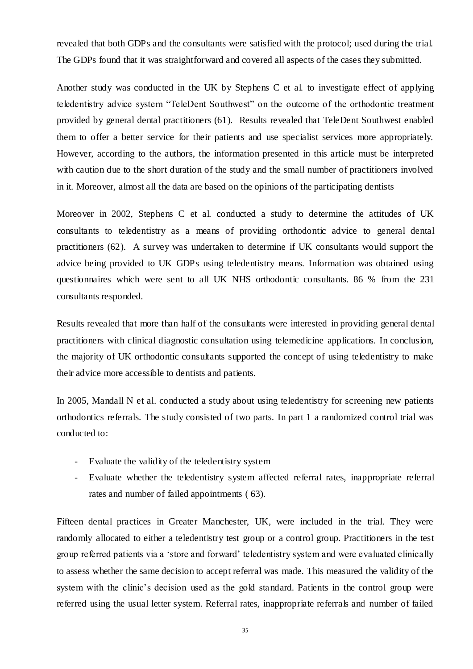revealed that both GDPs and the consultants were satisfied with the protocol; used during the trial. The GDPs found that it was straightforward and covered all aspects of the cases they submitted.

Another study was conducted in the UK by [Stephens C](http://www.ncbi.nlm.nih.gov/pubmed?term=Stephens%20C%5BAuthor%5D&cauthor=true&cauthor_uid=12222094) et al. to investigate effect of applying teledentistry advice system "TeleDent Southwest" on the outcome of the orthodontic treatment provided by general dental practitioners (61). Results revealed that TeleDent Southwest enabled them to offer a better service for their patients and use specialist services more appropriately. However, according to the authors, the information presented in this article must be interpreted with caution due to the short duration of the study and the small number of practitioners involved in it. Moreover, almost all the data are based on the opinions of the participating dentists

Moreover in 2002, [Stephens C](http://www.ncbi.nlm.nih.gov/pubmed?term=Stephens%20C%5BAuthor%5D&cauthor=true&cauthor_uid=12222094) et al. conducted a study to determine the attitudes of UK consultants to teledentistry as a means of providing orthodontic advice to general dental practitioners (62). A survey was undertaken to determine if UK consultants would support the advice being provided to UK GDPs using teledentistry means. Information was obtained using questionnaires which were sent to all UK NHS orthodontic consultants. 86 % from the 231 consultants responded.

Results revealed that more than half of the consultants were interested in providing general dental practitioners with clinical diagnostic consultation using telemedicine applications. In conclusion, the majority of UK orthodontic consultants supported the concept of using teledentistry to make their advice more accessible to dentists and patients.

In 2005, Mandall N et al. conducted a study about using teledentistry for screening new patients orthodontics referrals. The study consisted of two parts. In part 1 a randomized control trial was conducted to:

- Evaluate the validity of the teledentistry system
- Evaluate whether the teledentistry system affected referral rates, inappropriate referral rates and number of failed appointments ( 63).

Fifteen dental practices in Greater Manchester, UK, were included in the trial. They were randomly allocated to either a teledentistry test group or a control group. Practitioners in the test group referred patients via a 'store and forward' teledentistry system and were evaluated clinically to assess whether the same decision to accept referral was made. This measured the validity of the system with the clinic's decision used as the gold standard. Patients in the control group were referred using the usual letter system. Referral rates, inappropriate referrals and number of failed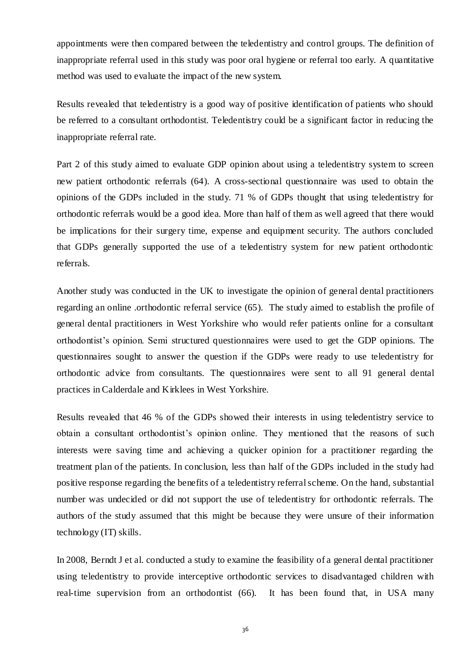appointments were then compared between the teledentistry and control groups. The definition of inappropriate referral used in this study was poor oral hygiene or referral too early. A quantitative method was used to evaluate the impact of the new system.

Results revealed that teledentistry is a good way of positive identification of patients who should be referred to a consultant orthodontist. Teledentistry could be a significant factor in reducing the inappropriate referral rate.

Part 2 of this study aimed to evaluate GDP opinion about using a teledentistry system to screen new patient orthodontic referrals (64). A cross-sectional questionnaire was used to obtain the opinions of the GDPs included in the study. 71 % of GDPs thought that using teledentistry for orthodontic referrals would be a good idea. More than half of them as well agreed that there would be implications for their surgery time, expense and equipment security. The authors concluded that GDPs generally supported the use of a teledentistry system for new patient orthodontic referrals.

Another study was conducted in the UK to investigate the opinion of general dental practitioners regarding an online .orthodontic referral service (65). The study aimed to establish the profile of general dental practitioners in West Yorkshire who would refer patients online for a consultant orthodontist's opinion. Semi structured questionnaires were used to get the GDP opinions. The questionnaires sought to answer the question if the GDPs were ready to use teledentistry for orthodontic advice from consultants. The questionnaires were sent to all 91 general dental practices in Calderdale and Kirklees in West Yorkshire.

Results revealed that 46 % of the GDPs showed their interests in using teledentistry service to obtain a consultant orthodontist's opinion online. They mentioned that the reasons of such interests were saving time and achieving a quicker opinion for a practitioner regarding the treatment plan of the patients. In conclusion, less than half of the GDPs included in the study had positive response regarding the benefits of a teledentistry referral scheme. On the hand, substantial number was undecided or did not support the use of teledentistry for orthodontic referrals. The authors of the study assumed that this might be because they were unsure of their information technology (IT) skills.

In 2008, [Berndt J](http://www.ncbi.nlm.nih.gov/pubmed?term=Berndt%20J%5BAuthor%5D&cauthor=true&cauthor_uid=18984404) et al. conducted a study to examine the feasibility of a general dental practitioner using teledentistry to provide interceptive orthodontic services to disadvantaged children with real-time supervision from an orthodontist (66). It has been found that, in USA many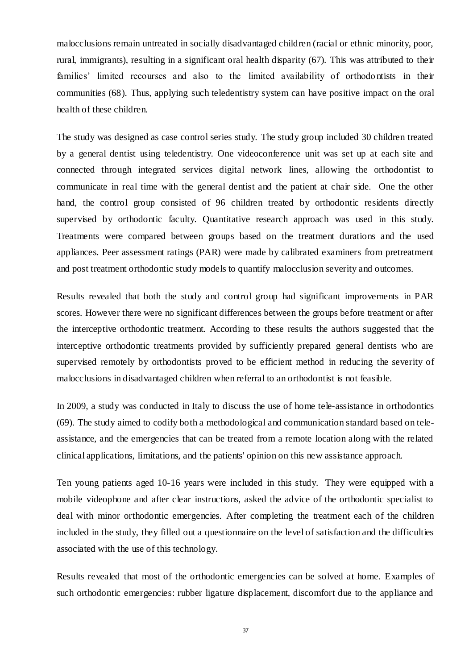malocclusions remain untreated in socially disadvantaged children (racial or ethnic minority, poor, rural, immigrants), resulting in a significant oral health disparity (67). This was attributed to their families' limited recourses and also to the limited availability of orthodo ntists in their communities (68). Thus, applying such teledentistry system can have positive impact on the oral health of these children.

The study was designed as case control series study. The study group included 30 children treated by a general dentist using teledentistry. One videoconference unit was set up at each site and connected through integrated services digital network lines, allowing the orthodontist to communicate in real time with the general dentist and the patient at chair side. One the other hand, the control group consisted of 96 children treated by orthodontic residents directly supervised by orthodontic faculty. Quantitative research approach was used in this study. Treatments were compared between groups based on the treatment durations and the used appliances. Peer assessment ratings (PAR) were made by calibrated examiners from pretreatment and post treatment orthodontic study models to quantify malocclusion severity and outcomes.

Results revealed that both the study and control group had significant improvements in PAR scores. However there were no significant differences between the groups before treatment or after the interceptive orthodontic treatment. According to these results the authors suggested that the interceptive orthodontic treatments provided by sufficiently prepared general dentists who are supervised remotely by orthodontists proved to be efficient method in reducing the severity of malocclusions in disadvantaged children when referral to an orthodontist is not feasible.

In 2009, a study was conducted in Italy to discuss the use of home tele-assistance in orthodontics (69). The study aimed to codify both a methodological and communication standard based on teleassistance, and the emergencies that can be treated from a remote location along with the related clinical applications, limitations, and the patients' opinion on this new assistance approach.

Ten young patients aged 10-16 years were included in this study. They were equipped with a mobile videophone and after clear instructions, asked the advice of the orthodontic specialist to deal with minor orthodontic emergencies. After completing the treatment each of the children included in the study, they filled out a questionnaire on the level of satisfaction and the difficulties associated with the use of this technology.

Results revealed that most of the orthodontic emergencies can be solved at home. Examples of such orthodontic emergencies: rubber ligature displacement, discomfort due to the appliance and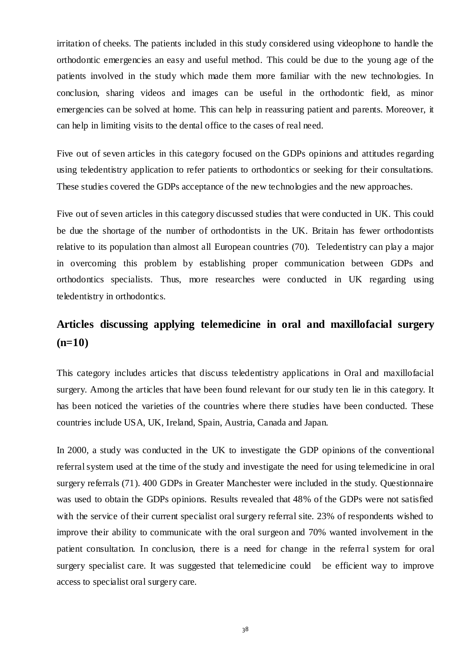irritation of cheeks. The patients included in this study considered using videophone to handle the orthodontic emergencies an easy and useful method. This could be due to the young age of the patients involved in the study which made them more familiar with the new technologies. In conclusion, sharing videos and images can be useful in the orthodontic field, as minor emergencies can be solved at home. This can help in reassuring patient and parents. Moreover, it can help in limiting visits to the dental office to the cases of real need.

Five out of seven articles in this category focused on the GDPs opinions and attitudes regarding using teledentistry application to refer patients to orthodontics or seeking for their consultations. These studies covered the GDPs acceptance of the new technologies and the new approaches.

Five out of seven articles in this category discussed studies that were conducted in UK. This could be due the shortage of the number of orthodontists in the UK. Britain has fewer orthodontists relative to its population than almost all European countries (70). Teledentistry can play a major in overcoming this problem by establishing proper communication between GDPs and orthodontics specialists. Thus, more researches were conducted in UK regarding using teledentistry in orthodontics.

# **Articles discussing applying telemedicine in oral and maxillofacial surgery (n=10)**

This category includes articles that discuss teledentistry applications in Oral and maxillofacial surgery. Among the articles that have been found relevant for our study ten lie in this category. It has been noticed the varieties of the countries where there studies have been conducted. These countries include USA, UK, Ireland, Spain, Austria, Canada and Japan.

In 2000, a study was conducted in the UK to investigate the GDP opinions of the conventional referral system used at the time of the study and investigate the need for using telemedicine in oral surgery referrals (71). 400 GDPs in Greater Manchester were included in the study. Questionnaire was used to obtain the GDPs opinions. Results revealed that 48% of the GDPs were not satisfied with the service of their current specialist oral surgery referral site. 23% of respondents wished to improve their ability to communicate with the oral surgeon and 70% wanted involvement in the patient consultation. In conclusion, there is a need for change in the referral system for oral surgery specialist care. It was suggested that telemedicine could be efficient way to improve access to specialist oral surgery care.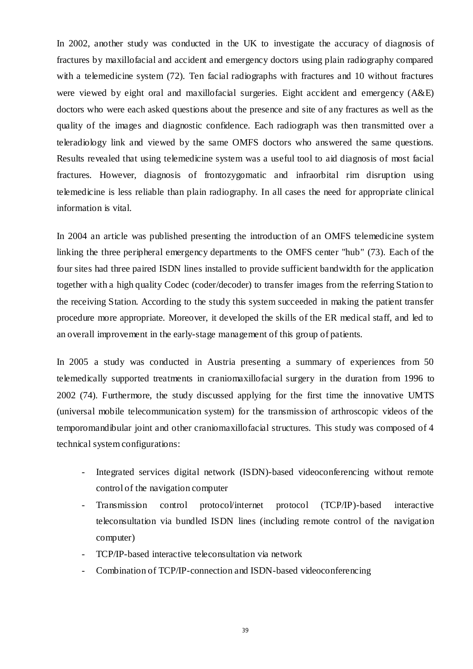In 2002, another study was conducted in the UK to investigate the accuracy of diagnosis of fractures by maxillofacial and accident and emergency doctors using plain radiography compared with a telemedicine system (72). Ten facial radiographs with fractures and 10 without fractures were viewed by eight oral and maxillofacial surgeries. Eight accident and emergency (A&E) doctors who were each asked questions about the presence and site of any fractures as well as the quality of the images and diagnostic confidence. Each radiograph was then transmitted over a teleradiology link and viewed by the same OMFS doctors who answered the same questions. Results revealed that using telemedicine system was a useful tool to aid diagnosis of most facial fractures. However, diagnosis of frontozygomatic and infraorbital rim disruption using telemedicine is less reliable than plain radiography. In all cases the need for appropriate clinical information is vital.

In 2004 an article was published presenting the introduction of an OMFS telemedicine system linking the three peripheral emergency departments to the OMFS center "hub" (73). Each of the four sites had three paired ISDN lines installed to provide sufficient bandwidth for the application together with a high quality Codec (coder/decoder) to transfer images from the referring Station to the receiving Station. According to the study this system succeeded in making the patient transfer procedure more appropriate. Moreover, it developed the skills of the ER medical staff, and led to an overall improvement in the early-stage management of this group of patients.

In 2005 a study was conducted in Austria presenting a summary of experiences from 50 telemedically supported treatments in craniomaxillofacial surgery in the duration from 1996 to 2002 (74). Furthermore, the study discussed applying for the first time the innovative UMTS (universal mobile telecommunication system) for the transmission of arthroscopic videos of the temporomandibular joint and other craniomaxillofacial structures. This study was composed of 4 technical system configurations:

- Integrated services digital network (ISDN)-based videoconferencing without remote control of the navigation computer
- Transmission control protocol/internet protocol (TCP/IP)-based interactive teleconsultation via bundled ISDN lines (including remote control of the navigation computer)
- TCP/IP-based interactive teleconsultation via network
- Combination of TCP/IP-connection and ISDN-based videoconferencing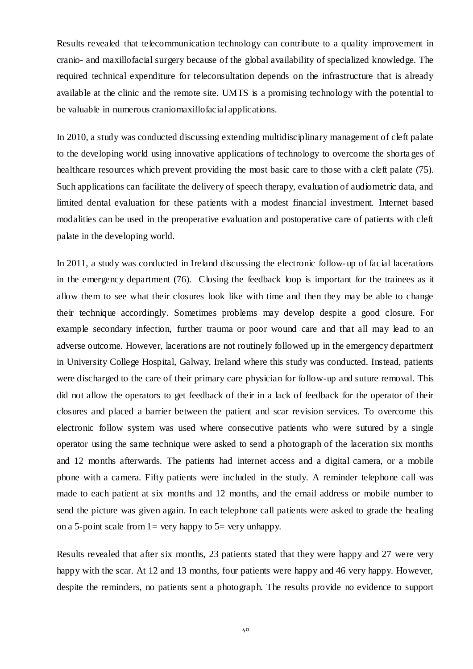Results revealed that telecommunication technology can contribute to a quality improvement in cranio- and maxillofacial surgery because of the global availability of specialized knowledge. The required technical expenditure for teleconsultation depends on the infrastructure that is already available at the clinic and the remote site. UMTS is a promising technology with the potential to be valuable in numerous craniomaxillofacial applications.

In 2010, a study was conducted discussing extending multidisciplinary management of cleft palate to the developing world using innovative applications of technology to overcome the shorta ges of healthcare resources which prevent providing the most basic care to those with a cleft palate (75). Such applications can facilitate the delivery of speech therapy, evaluation of audiometric data, and limited dental evaluation for these patients with a modest financial investment. Internet based modalities can be used in the preoperative evaluation and postoperative care of patients with cleft palate in the developing world.

In 2011, a study was conducted in Ireland discussing the electronic follow-up of facial lacerations in the emergency department (76). Closing the feedback loop is important for the trainees as it allow them to see what their closures look like with time and then they may be able to change their technique accordingly. Sometimes problems may develop despite a good closure. For example secondary infection, further trauma or poor wound care and that all may lead to an adverse outcome. However, lacerations are not routinely followed up in the emergency department in University College Hospital, Galway, Ireland where this study was conducted. Instead, patients were discharged to the care of their primary care physician for follow-up and suture removal. This did not allow the operators to get feedback of their in a lack of feedback for the operator of their closures and placed a barrier between the patient and scar revision services. To overcome this electronic follow system was used where consecutive patients who were sutured by a single operator using the same technique were asked to send a photograph of the laceration six months and 12 months afterwards. The patients had internet access and a digital camera, or a mobile phone with a camera. Fifty patients were included in the study. A reminder telephone call was made to each patient at six months and 12 months, and the email address or mobile number to send the picture was given again. In each telephone call patients were asked to grade the healing on a 5-point scale from  $1=$  very happy to  $5=$  very unhappy.

Results revealed that after six months, 23 patients stated that they were happy and 27 were very happy with the scar. At 12 and 13 months, four patients were happy and 46 very happy. However, despite the reminders, no patients sent a photograph. The results provide no evidence to support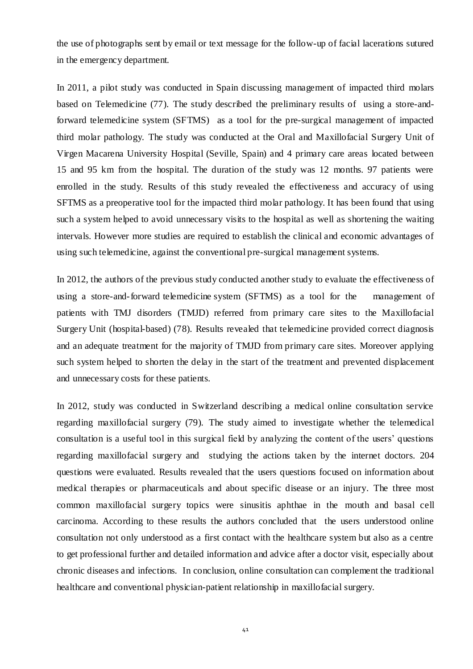the use of photographs sent by email or text message for the follow-up of facial lacerations sutured in the emergency department.

In 2011, a pilot study was conducted in Spain discussing management of impacted third molars based on Telemedicine (77). The study described the preliminary results of using a store-andforward telemedicine system (SFTMS) as a tool for the pre-surgical management of impacted third molar pathology. The study was conducted at the Oral and Maxillofacial Surgery Unit of Virgen Macarena University Hospital (Seville, Spain) and 4 primary care areas located between 15 and 95 km from the hospital. The duration of the study was 12 months. 97 patients were enrolled in the study. Results of this study revealed the effectiveness and accuracy of using SFTMS as a preoperative tool for the impacted third molar pathology. It has been found that using such a system helped to avoid unnecessary visits to the hospital as well as shortening the waiting intervals. However more studies are required to establish the clinical and economic advantages of using such telemedicine, against the conventional pre-surgical management systems.

In 2012, the authors of the previous study conducted another study to evaluate the effectiveness of using a store-and-forward telemedicine system (SFTMS) as a tool for the management of patients with TMJ disorders (TMJD) referred from primary care sites to the Maxillofacial Surgery Unit (hospital-based) (78). Results revealed that telemedicine provided correct diagnosis and an adequate treatment for the majority of TMJD from primary care sites. Moreover applying such system helped to shorten the delay in the start of the treatment and prevented displacement and unnecessary costs for these patients.

In 2012, study was conducted in Switzerland describing a medical online consultation service regarding maxillofacial surgery (79). The study aimed to investigate whether the telemedical consultation is a useful tool in this surgical field by analyzing the content of the users' questions regarding maxillofacial surgery and studying the actions taken by the internet doctors. 204 questions were evaluated. Results revealed that the users questions focused on information about medical therapies or pharmaceuticals and about specific disease or an injury. The three most common maxillofacial surgery topics were sinusitis aphthae in the mouth and basal cell carcinoma. According to these results the authors concluded that the users understood online consultation not only understood as a first contact with the healthcare system but also as a centre to get professional further and detailed information and advice after a doctor visit, especially about chronic diseases and infections. In conclusion, online consultation can complement the traditional healthcare and conventional physician-patient relationship in maxillofacial surgery.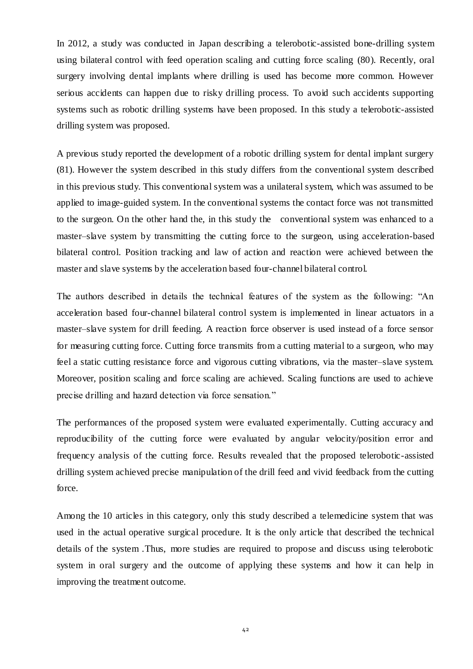In 2012, a study was conducted in Japan describing a telerobotic-assisted bone-drilling system using bilateral control with feed operation scaling and cutting force scaling (80). Recently, oral surgery involving dental implants where drilling is used has become more common. However serious accidents can happen due to risky drilling process. To avoid such accidents supporting systems such as robotic drilling systems have been proposed. In this study a telerobotic-assisted drilling system was proposed.

A previous study reported the development of a robotic drilling system for dental implant surgery (81). However the system described in this study differs from the conventional system described in this previous study. This conventional system was a unilateral system, which was assumed to be applied to image-guided system. In the conventional systems the contact force was not transmitted to the surgeon. On the other hand the, in this study the conventional system was enhanced to a master–slave system by transmitting the cutting force to the surgeon, using acceleration-based bilateral control. Position tracking and law of action and reaction were achieved between the master and slave systems by the acceleration based four-channel bilateral control.

The authors described in details the technical features of the system as the following: "An acceleration based four-channel bilateral control system is implemented in linear actuators in a master–slave system for drill feeding. A reaction force observer is used instead of a force sensor for measuring cutting force. Cutting force transmits from a cutting material to a surgeon, who may feel a static cutting resistance force and vigorous cutting vibrations, via the master–slave system. Moreover, position scaling and force scaling are achieved. Scaling functions are used to achieve precise drilling and hazard detection via force sensation."

The performances of the proposed system were evaluated experimentally. Cutting accuracy and reproducibility of the cutting force were evaluated by angular velocity/position error and frequency analysis of the cutting force. Results revealed that the proposed telerobotic-assisted drilling system achieved precise manipulation of the drill feed and vivid feedback from the cutting force.

Among the 10 articles in this category, only this study described a telemedicine system that was used in the actual operative surgical procedure. It is the only article that described the technical details of the system .Thus, more studies are required to propose and discuss using telerobotic system in oral surgery and the outcome of applying these systems and how it can help in improving the treatment outcome.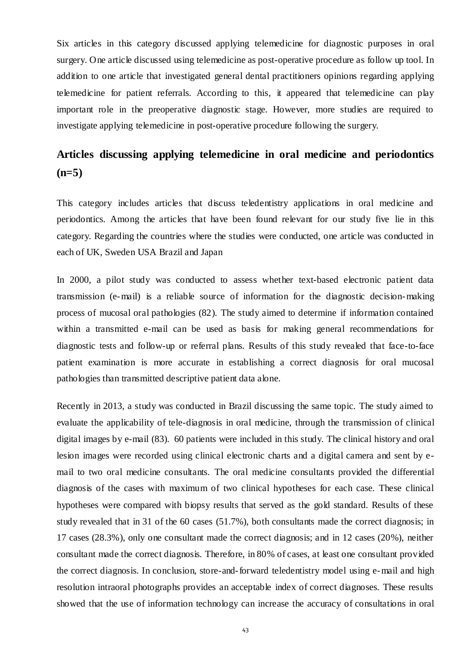Six articles in this category discussed applying telemedicine for diagnostic purposes in oral surgery. One article discussed using telemedicine as post-operative procedure as follow up tool. In addition to one article that investigated general dental practitioners opinions regarding applying telemedicine for patient referrals. According to this, it appeared that telemedicine can play important role in the preoperative diagnostic stage. However, more studies are required to investigate applying telemedicine in post-operative procedure following the surgery.

# **Articles discussing applying telemedicine in oral medicine and periodontics (n=5)**

This category includes articles that discuss teledentistry applications in oral medicine and periodontics. Among the articles that have been found relevant for our study five lie in this category. Regarding the countries where the studies were conducted, one article was conducted in each of UK, Sweden USA Brazil and Japan

In 2000, a pilot study was conducted to assess whether text-based electronic patient data transmission (e-mail) is a reliable source of information for the diagnostic decision-making process of mucosal oral pathologies (82). The study aimed to determine if information contained within a transmitted e-mail can be used as basis for making general recommendations for diagnostic tests and follow-up or referral plans. Results of this study revealed that face-to-face patient examination is more accurate in establishing a correct diagnosis for oral mucosal pathologies than transmitted descriptive patient data alone.

Recently in 2013, a study was conducted in Brazil discussing the same topic. The study aimed to evaluate the applicability of tele-diagnosis in oral medicine, through the transmission of clinical digital images by e-mail (83). 60 patients were included in this study. The clinical history and oral lesion images were recorded using clinical electronic charts and a digital camera and sent by email to two oral medicine consultants. The oral medicine consultants provided the differential diagnosis of the cases with maximum of two clinical hypotheses for each case. These clinical hypotheses were compared with biopsy results that served as the gold standard. Results of these study revealed that in 31 of the 60 cases (51.7%), both consultants made the correct diagnosis; in 17 cases (28.3%), only one consultant made the correct diagnosis; and in 12 cases (20%), neither consultant made the correct diagnosis. Therefore, in 80% of cases, at least one consultant provided the correct diagnosis. In conclusion, store-and-forward teledentistry model using e-mail and high resolution intraoral photographs provides an acceptable index of correct diagnoses. These results showed that the use of information technology can increase the accuracy of consultations in oral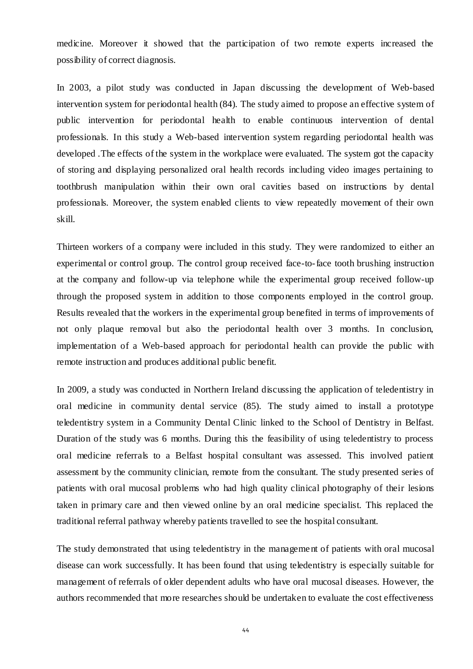medicine. Moreover it showed that the participation of two remote experts increased the possibility of correct diagnosis.

In 2003, a pilot study was conducted in Japan discussing the development of Web-based intervention system for periodontal health (84). The study aimed to propose an effective system of public intervention for periodontal health to enable continuous intervention of dental professionals. In this study a Web-based intervention system regarding periodontal health was developed .The effects of the system in the workplace were evaluated. The system got the capacity of storing and displaying personalized oral health records including video images pertaining to toothbrush manipulation within their own oral cavities based on instructions by dental professionals. Moreover, the system enabled clients to view repeatedly movement of their own skill.

Thirteen workers of a company were included in this study. They were randomized to either an experimental or control group. The control group received face-to-face tooth brushing instruction at the company and follow-up via telephone while the experimental group received follow-up through the proposed system in addition to those components employed in the control group. Results revealed that the workers in the experimental group benefited in terms of improvements of not only plaque removal but also the periodontal health over 3 months. In conclusion, implementation of a Web-based approach for periodontal health can provide the public with remote instruction and produces additional public benefit.

In 2009, a study was conducted in Northern Ireland discussing the application of teledentistry in oral medicine in community dental service (85). The study aimed to install a prototype teledentistry system in a Community Dental Clinic linked to the School of Dentistry in Belfast. Duration of the study was 6 months. During this the feasibility of using teledentistry to process oral medicine referrals to a Belfast hospital consultant was assessed. This involved patient assessment by the community clinician, remote from the consultant. The study presented series of patients with oral mucosal problems who had high quality clinical photography of their lesions taken in primary care and then viewed online by an oral medicine specialist. This replaced the traditional referral pathway whereby patients travelled to see the hospital consultant.

The study demonstrated that using teledentistry in the management of patients with oral mucosal disease can work successfully. It has been found that using teledentistry is especially suitable for management of referrals of older dependent adults who have oral mucosal diseases. However, the authors recommended that more researches should be undertaken to evaluate the cost effectiveness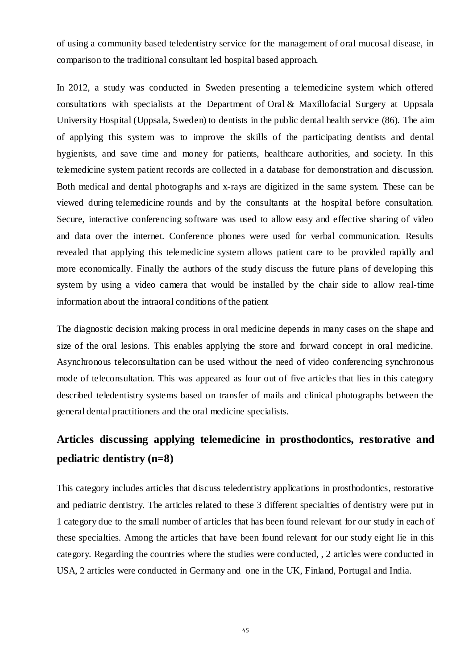of using a community based teledentistry service for the management of oral mucosal disease, in comparison to the traditional consultant led hospital based approach.

In 2012, a study was conducted in Sweden presenting a telemedicine system which offered consultations with specialists at the Department of Oral & Maxillofacial Surgery at Uppsala University Hospital (Uppsala, Sweden) to dentists in the public dental health service (86). The aim of applying this system was to improve the skills of the participating dentists and dental hygienists, and save time and money for patients, healthcare authorities, and society. In this telemedicine system patient records are collected in a database for demonstration and discussion. Both medical and dental photographs and x-rays are digitized in the same system. These can be viewed during telemedicine rounds and by the consultants at the hospital before consultation. Secure, interactive conferencing software was used to allow easy and effective sharing of video and data over the internet. Conference phones were used for verbal communication. Results revealed that applying this telemedicine system allows patient care to be provided rapidly and more economically. Finally the authors of the study discuss the future plans of developing this system by using a video camera that would be installed by the chair side to allow real-time information about the intraoral conditions of the patient

The diagnostic decision making process in oral medicine depends in many cases on the shape and size of the oral lesions. This enables applying the store and forward concept in oral medicine. Asynchronous teleconsultation can be used without the need of video conferencing synchronous mode of teleconsultation. This was appeared as four out of five articles that lies in this category described teledentistry systems based on transfer of mails and clinical photographs between the general dental practitioners and the oral medicine specialists.

# **Articles discussing applying telemedicine in prosthodontics, restorative and pediatric dentistry (n=8)**

This category includes articles that discuss teledentistry applications in prosthodontics, restorative and pediatric dentistry. The articles related to these 3 different specialties of dentistry were put in 1 category due to the small number of articles that has been found relevant for our study in each of these specialties. Among the articles that have been found relevant for our study eight lie in this category. Regarding the countries where the studies were conducted, , 2 articles were conducted in USA, 2 articles were conducted in Germany and one in the UK, Finland, Portugal and India.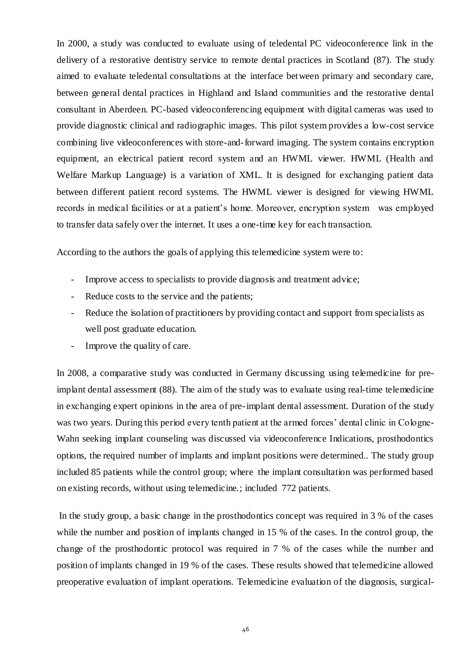In 2000, a study was conducted to evaluate using of teledental PC videoconference link in the delivery of a restorative dentistry service to remote dental practices in Scotland (87). The study aimed to evaluate teledental consultations at the interface between primary and secondary care, between general dental practices in Highland and Island communities and the restorative dental consultant in Aberdeen. PC-based videoconferencing equipment with digital cameras was used to provide diagnostic clinical and radiographic images. This pilot system provides a low-cost service combining live videoconferences with store-and-forward imaging. The system contains encryption equipment, an electrical patient record system and an HWML viewer. HWML (Health and Welfare Markup Language) is a variation of XML. It is designed for exchanging patient data between different patient record systems. The HWML viewer is designed for viewing HWML records in medical facilities or at a patient's home. Moreover, encryption system was employed to transfer data safely over the internet. It uses a one-time key for each transaction.

According to the authors the goals of applying this telemedicine system were to:

- Improve access to specialists to provide diagnosis and treatment advice;
- Reduce costs to the service and the patients;
- Reduce the isolation of practitioners by providing contact and support from specialists as well post graduate education.
- Improve the quality of care.

In 2008, a comparative study was conducted in Germany discussing using telemedicine for preimplant dental assessment (88). The aim of the study was to evaluate using real-time telemedicine in exchanging expert opinions in the area of pre-implant dental assessment. Duration of the study was two years. During this period every tenth patient at the armed forces' dental clinic in Cologne-Wahn seeking implant counseling was discussed via videoconference Indications, prosthodontics options, the required number of implants and implant positions were determined.. The study group included 85 patients while the control group; where the implant consultation was performed based on existing records, without using telemedicine.; included 772 patients.

In the study group, a basic change in the prosthodontics concept was required in 3 % of the cases while the number and position of implants changed in 15 % of the cases. In the control group, the change of the prosthodontic protocol was required in 7 % of the cases while the number and position of implants changed in 19 % of the cases. These results showed that telemedicine allowed preoperative evaluation of implant operations. Telemedicine evaluation of the diagnosis, surgical-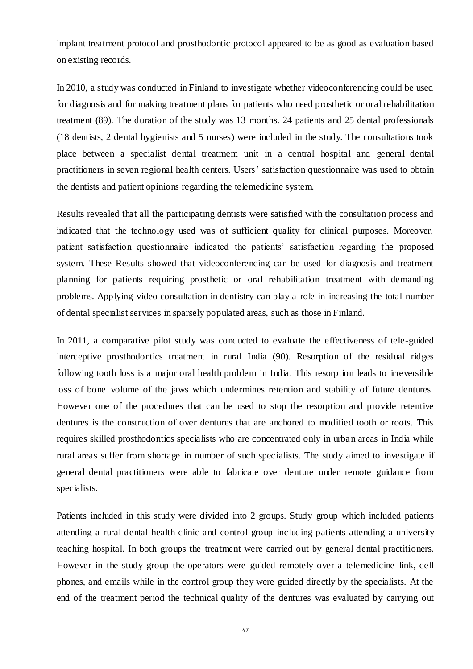implant treatment protocol and prosthodontic protocol appeared to be as good as evaluation based on existing records.

In 2010, a study was conducted in Finland to investigate whether videoconferencing could be used for diagnosis and for making treatment plans for patients who need prosthetic or oral rehabilitation treatment (89). The duration of the study was 13 months. 24 patients and 25 dental professionals (18 dentists, 2 dental hygienists and 5 nurses) were included in the study. The consultations took place between a specialist dental treatment unit in a central hospital and general dental practitioners in seven regional health centers. Users' satisfaction questionnaire was used to obtain the dentists and patient opinions regarding the telemedicine system.

Results revealed that all the participating dentists were satisfied with the consultation process and indicated that the technology used was of sufficient quality for clinical purposes. Moreover, patient satisfaction questionnaire indicated the patients' satisfaction regarding the proposed system. These Results showed that videoconferencing can be used for diagnosis and treatment planning for patients requiring prosthetic or oral rehabilitation treatment with demanding problems. Applying video consultation in dentistry can play a role in increasing the total number of dental specialist services in sparsely populated areas, such as those in Finland.

In 2011, a comparative pilot study was conducted to evaluate the effectiveness of tele-guided interceptive prosthodontics treatment in rural India (90). Resorption of the residual ridges following tooth loss is a major oral health problem in India. This resorption leads to irreversible loss of bone volume of the jaws which undermines retention and stability of future dentures. However one of the procedures that can be used to stop the resorption and provide retentive dentures is the construction of over dentures that are anchored to modified tooth or roots. This requires skilled prosthodontics specialists who are concentrated only in urban areas in India while rural areas suffer from shortage in number of such specialists. The study aimed to investigate if general dental practitioners were able to fabricate over denture under remote guidance from specialists.

Patients included in this study were divided into 2 groups. Study group which included patients attending a rural dental health clinic and control group including patients attending a university teaching hospital. In both groups the treatment were carried out by general dental practitioners. However in the study group the operators were guided remotely over a telemedicine link, cell phones, and emails while in the control group they were guided directly by the specialists. At the end of the treatment period the technical quality of the dentures was evaluated by carrying out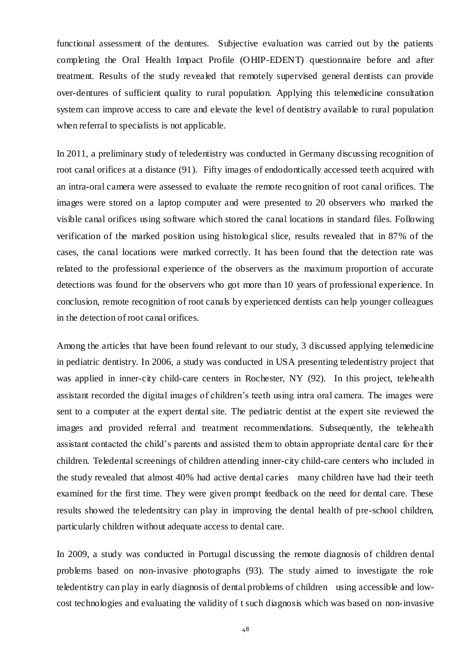functional assessment of the dentures. Subjective evaluation was carried out by the patients completing the Oral Health Impact Profile (OHIP-EDENT) questionnaire before and after treatment. Results of the study revealed that remotely supervised general dentists can provide over-dentures of sufficient quality to rural population. Applying this telemedicine consultation system can improve access to care and elevate the level of dentistry available to rural population when referral to specialists is not applicable.

In 2011, a preliminary study of teledentistry was conducted in Germany discussing recognition of root canal orifices at a distance (91). Fifty images of endodontically accessed teeth acquired with an intra-oral camera were assessed to evaluate the remote recognition of root canal orifices. The images were stored on a laptop computer and were presented to 20 observers who marked the visible canal orifices using software which stored the canal locations in standard files. Following verification of the marked position using histological slice, results revealed that in 87% of the cases, the canal locations were marked correctly. It has been found that the detection rate was related to the professional experience of the observers as the maximum proportion of accurate detections was found for the observers who got more than 10 years of professional experience. In conclusion, remote recognition of root canals by experienced dentists can help younger colleagues in the detection of root canal orifices.

Among the articles that have been found relevant to our study, 3 discussed applying telemedicine in pediatric dentistry. In 2006, a study was conducted in USA presenting teledentistry project that was applied in inner-city child-care centers in Rochester, NY (92). In this project, telehealth assistant recorded the digital images of children's teeth using intra oral camera. The images were sent to a computer at the expert dental site. The pediatric dentist at the expert site reviewed the images and provided referral and treatment recommendations. Subsequently, the telehealth assistant contacted the child's parents and assisted them to obtain appropriate dental care for their children. Teledental screenings of children attending inner-city child-care centers who included in the study revealed that almost 40% had active dental caries many children have had their teeth examined for the first time. They were given prompt feedback on the need for dental care. These results showed the teledentsitry can play in improving the dental health of pre-school children, particularly children without adequate access to dental care.

In 2009, a study was conducted in Portugal discussing the remote diagnosis of children dental problems based on non-invasive photographs (93). The study aimed to investigate the role teledentistry can play in early diagnosis of dental problems of children using accessible and lowcost technologies and evaluating the validity of t such diagnosis which was based on non-invasive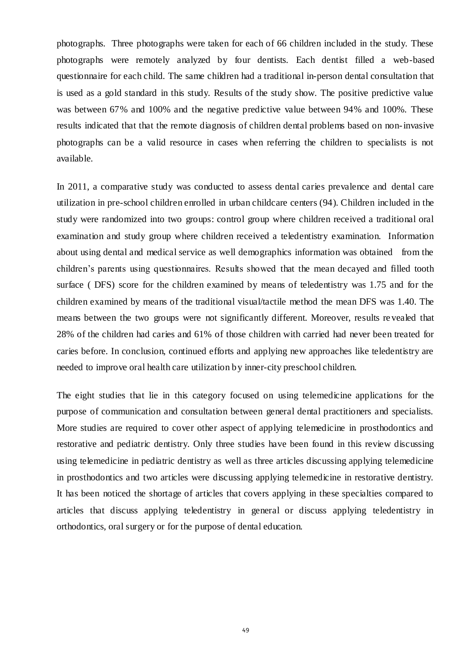photographs. Three photographs were taken for each of 66 children included in the study. These photographs were remotely analyzed by four dentists. Each dentist filled a web-based questionnaire for each child. The same children had a traditional in-person dental consultation that is used as a gold standard in this study. Results of the study show. The positive predictive value was between 67% and 100% and the negative predictive value between 94% and 100%. These results indicated that that the remote diagnosis of children dental problems based on non-invasive photographs can be a valid resource in cases when referring the children to specialists is not available.

In 2011, a comparative study was conducted to assess dental caries prevalence and dental care utilization in pre-school children enrolled in urban childcare centers (94). Children included in the study were randomized into two groups: control group where children received a traditional oral examination and study group where children received a teledentistry examination. Information about using dental and medical service as well demographics information was obtained from the children's parents using questionnaires. Results showed that the mean decayed and filled tooth surface ( DFS) score for the children examined by means of teledentistry was 1.75 and for the children examined by means of the traditional visual/tactile method the mean DFS was 1.40. The means between the two groups were not significantly different. Moreover, results re vealed that 28% of the children had caries and 61% of those children with carried had never been treated for caries before. In conclusion, continued efforts and applying new approaches like teledentistry are needed to improve oral health care utilization by inner-city preschool children.

The eight studies that lie in this category focused on using telemedicine applications for the purpose of communication and consultation between general dental practitioners and specialists. More studies are required to cover other aspect of applying telemedicine in prosthodontics and restorative and pediatric dentistry. Only three studies have been found in this review discussing using telemedicine in pediatric dentistry as well as three articles discussing applying telemedicine in prosthodontics and two articles were discussing applying telemedicine in restorative dentistry. It has been noticed the shortage of articles that covers applying in these specialties compared to articles that discuss applying teledentistry in general or discuss applying teledentistry in orthodontics, oral surgery or for the purpose of dental education.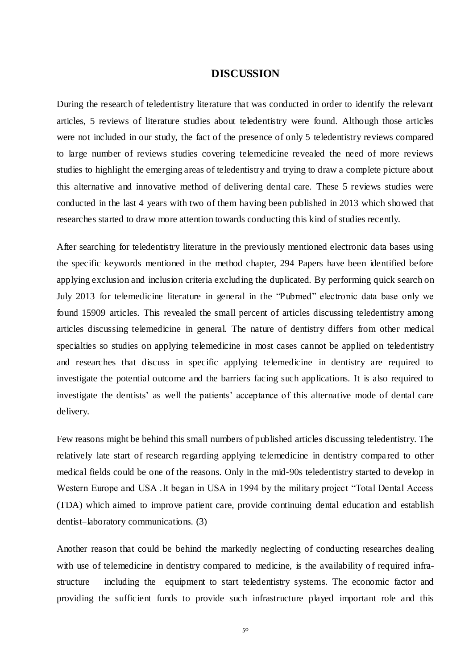### **DISCUSSION**

During the research of teledentistry literature that was conducted in order to identify the relevant articles, 5 reviews of literature studies about teledentistry were found. Although those articles were not included in our study, the fact of the presence of only 5 teledentistry reviews compared to large number of reviews studies covering telemedicine revealed the need of more reviews studies to highlight the emerging areas of teledentistry and trying to draw a complete picture about this alternative and innovative method of delivering dental care. These 5 reviews studies were conducted in the last 4 years with two of them having been published in 2013 which showed that researches started to draw more attention towards conducting this kind of studies recently.

After searching for teledentistry literature in the previously mentioned electronic data bases using the specific keywords mentioned in the method chapter, 294 Papers have been identified before applying exclusion and inclusion criteria excluding the duplicated. By performing quick search on July 2013 for telemedicine literature in general in the "Pubmed" electronic data base only we found 15909 articles. This revealed the small percent of articles discussing teledentistry among articles discussing telemedicine in general. The nature of dentistry differs from other medical specialties so studies on applying telemedicine in most cases cannot be applied on teledentistry and researches that discuss in specific applying telemedicine in dentistry are required to investigate the potential outcome and the barriers facing such applications. It is also required to investigate the dentists' as well the patients' acceptance of this alternative mode of dental care delivery.

Few reasons might be behind this small numbers of published articles discussing teledentistry. The relatively late start of research regarding applying telemedicine in dentistry compa red to other medical fields could be one of the reasons. Only in the mid-90s teledentistry started to develop in Western Europe and USA .It began in USA in 1994 by the military project "Total Dental Access (TDA) which aimed to improve patient care, provide continuing dental education and establish dentist–laboratory communications. (3)

Another reason that could be behind the markedly neglecting of conducting researches dealing with use of telemedicine in dentistry compared to medicine, is the availability of required infrastructure including the equipment to start teledentistry systems. The economic factor and providing the sufficient funds to provide such infrastructure played important role and this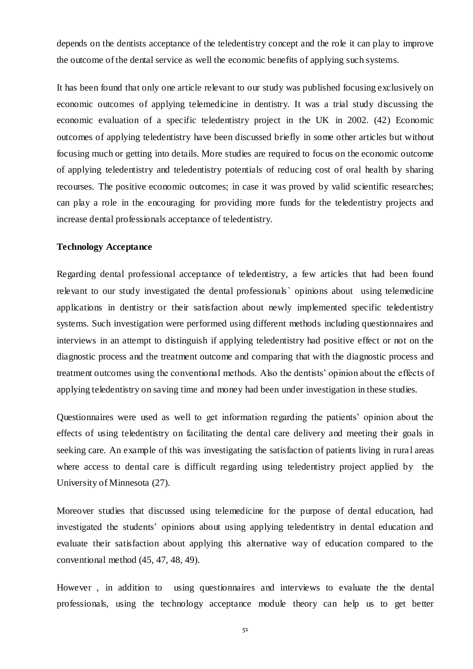depends on the dentists acceptance of the teledentistry concept and the role it can play to improve the outcome of the dental service as well the economic benefits of applying such systems.

It has been found that only one article relevant to our study was published focusing exclusively on economic outcomes of applying telemedicine in dentistry. It was a trial study discussing the economic evaluation of a specific teledentistry project in the UK in 2002. (42) Economic outcomes of applying teledentistry have been discussed briefly in some other articles but without focusing much or getting into details. More studies are required to focus on the economic outcome of applying teledentistry and teledentistry potentials of reducing cost of oral health by sharing recourses. The positive economic outcomes; in case it was proved by valid scientific researches; can play a role in the encouraging for providing more funds for the teledentistry projects and increase dental professionals acceptance of teledentistry.

#### **Technology Acceptance**

Regarding dental professional acceptance of teledentistry, a few articles that had been found relevant to our study investigated the dental professionals` opinions about using telemedicine applications in dentistry or their satisfaction about newly implemented specific teledentistry systems. Such investigation were performed using different methods including questionnaires and interviews in an attempt to distinguish if applying teledentistry had positive effect or not on the diagnostic process and the treatment outcome and comparing that with the diagnostic process and treatment outcomes using the conventional methods. Also the dentists' opinion about the effects of applying teledentistry on saving time and money had been under investigation in these studies.

Questionnaires were used as well to get information regarding the patients' opinion about the effects of using teledentistry on facilitating the dental care delivery and meeting their goals in seeking care. An example of this was investigating the satisfaction of patients living in rural areas where access to dental care is difficult regarding using teledentistry project applied by the University of Minnesota (27).

Moreover studies that discussed using telemedicine for the purpose of dental education, had investigated the students' opinions about using applying teledentistry in dental education and evaluate their satisfaction about applying this alternative way of education compared to the conventional method (45, 47, 48, 49).

However , in addition to using questionnaires and interviews to evaluate the the dental professionals, using the technology acceptance module theory can help us to get better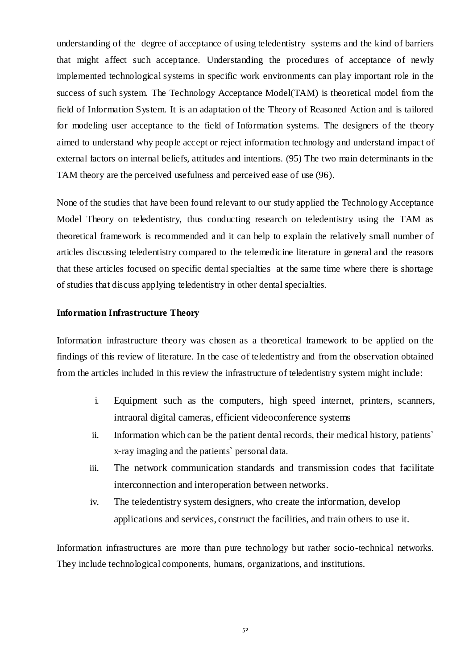understanding of the degree of acceptance of using teledentistry systems and the kind of barriers that might affect such acceptance. Understanding the procedures of acceptance of newly implemented technological systems in specific work environments can play important role in the success of such system. The Technology Acceptance Model(TAM) is theoretical model from the field of Information System. It is an adaptation of the Theory of Reasoned Action and is tailored for modeling user acceptance to the field of Information systems. The designers of the theory aimed to understand why people accept or reject information technology and understand impact of external factors on internal beliefs, attitudes and intentions. (95) The two main determinants in the TAM theory are the perceived usefulness and perceived ease of use (96).

None of the studies that have been found relevant to our study applied the Technology Acceptance Model Theory on teledentistry, thus conducting research on teledentistry using the TAM as theoretical framework is recommended and it can help to explain the relatively small number of articles discussing teledentistry compared to the telemedicine literature in general and the reasons that these articles focused on specific dental specialties at the same time where there is shortage of studies that discuss applying teledentistry in other dental specialties.

#### **Information Infrastructure Theory**

Information infrastructure theory was chosen as a theoretical framework to be applied on the findings of this review of literature. In the case of teledentistry and from the observation obtained from the articles included in this review the infrastructure of teledentistry system might include:

- i. Equipment such as the computers, high speed internet, printers, scanners, intraoral digital cameras, efficient videoconference systems
- ii. Information which can be the patient dental records, their medical history, patients` x-ray imaging and the patients` personal data.
- iii. The network communication standards and transmission codes that facilitate interconnection and interoperation between networks.
- iv. The teledentistry system designers, who create the information, develop applications and services, construct the facilities, and train others to use it.

Information infrastructures are more than pure technology but rather socio-technical networks. They include technological components, humans, organizations, and institutions.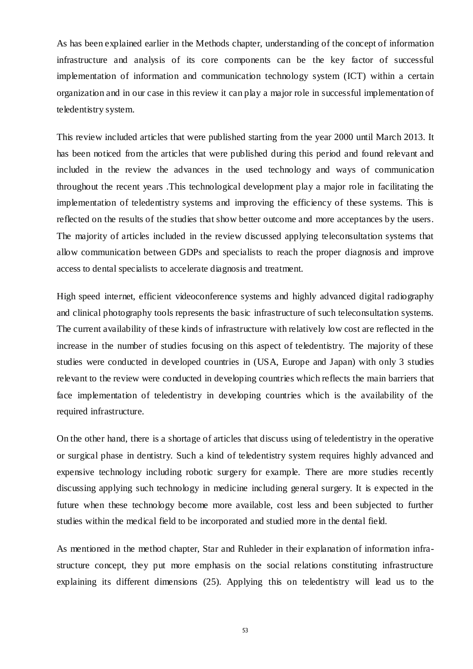As has been explained earlier in the Methods chapter, understanding of the concept of information infrastructure and analysis of its core components can be the key factor of successful implementation of information and communication technology system (ICT) within a certain organization and in our case in this review it can play a major role in successful implementation of teledentistry system.

This review included articles that were published starting from the year 2000 until March 2013. It has been noticed from the articles that were published during this period and found relevant and included in the review the advances in the used technology and ways of communication throughout the recent years .This technological development play a major role in facilitating the implementation of teledentistry systems and improving the efficiency of these systems. This is reflected on the results of the studies that show better outcome and more acceptances by the users. The majority of articles included in the review discussed applying teleconsultation systems that allow communication between GDPs and specialists to reach the proper diagnosis and improve access to dental specialists to accelerate diagnosis and treatment.

High speed internet, efficient videoconference systems and highly advanced digital radiography and clinical photography tools represents the basic infrastructure of such teleconsultation systems. The current availability of these kinds of infrastructure with relatively low cost are reflected in the increase in the number of studies focusing on this aspect of teledentistry. The majority of these studies were conducted in developed countries in (USA, Europe and Japan) with only 3 studies relevant to the review were conducted in developing countries which reflects the main barriers that face implementation of teledentistry in developing countries which is the availability of the required infrastructure.

On the other hand, there is a shortage of articles that discuss using of teledentistry in the operative or surgical phase in dentistry. Such a kind of teledentistry system requires highly advanced and expensive technology including robotic surgery for example. There are more studies recently discussing applying such technology in medicine including general surgery. It is expected in the future when these technology become more available, cost less and been subjected to further studies within the medical field to be incorporated and studied more in the dental field.

As mentioned in the method chapter, Star and Ruhleder in their explanation of information infrastructure concept, they put more emphasis on the social relations constituting infrastructure explaining its different dimensions (25). Applying this on teledentistry will lead us to the

53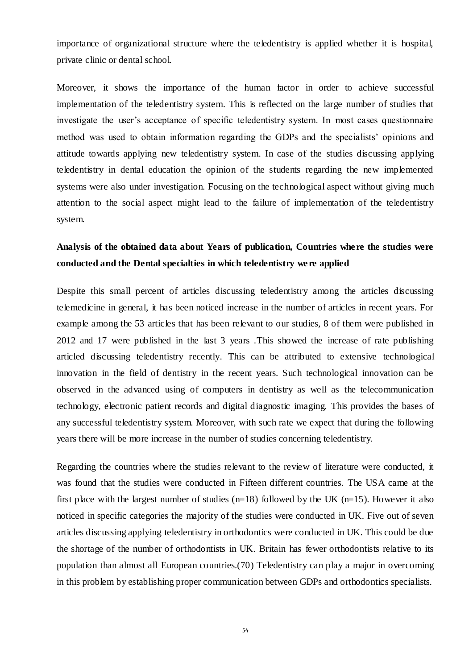importance of organizational structure where the teledentistry is applied whether it is hospital, private clinic or dental school.

Moreover, it shows the importance of the human factor in order to achieve successful implementation of the teledentistry system. This is reflected on the large number of studies that investigate the user's acceptance of specific teledentistry system. In most cases questionnaire method was used to obtain information regarding the GDPs and the specialists' opinions and attitude towards applying new teledentistry system. In case of the studies discussing applying teledentistry in dental education the opinion of the students regarding the new implemented systems were also under investigation. Focusing on the technological aspect without giving much attention to the social aspect might lead to the failure of implementation of the teledentistry system.

## **Analysis of the obtained data about Years of publication, Countries where the studies were conducted and the Dental specialties in which teledentistry were applied**

Despite this small percent of articles discussing teledentistry among the articles discussing telemedicine in general, it has been noticed increase in the number of articles in recent years. For example among the 53 articles that has been relevant to our studies, 8 of them were published in 2012 and 17 were published in the last 3 years .This showed the increase of rate publishing articled discussing teledentistry recently. This can be attributed to extensive technological innovation in the field of dentistry in the recent years. Such technological innovation can be observed in the advanced using of computers in dentistry as well as the telecommunication technology, electronic patient records and digital diagnostic imaging. This provides the bases of any successful teledentistry system. Moreover, with such rate we expect that during the following years there will be more increase in the number of studies concerning teledentistry.

Regarding the countries where the studies relevant to the review of literature were conducted, it was found that the studies were conducted in Fifteen different countries. The USA came at the first place with the largest number of studies  $(n=18)$  followed by the UK  $(n=15)$ . However it also noticed in specific categories the majority of the studies were conducted in UK. Five out of seven articles discussing applying teledentistry in orthodontics were conducted in UK. This could be due the shortage of the number of orthodontists in UK. Britain has fewer orthodontists relative to its population than almost all European countries.(70) Teledentistry can play a major in overcoming in this problem by establishing proper communication between GDPs and orthodontics specialists.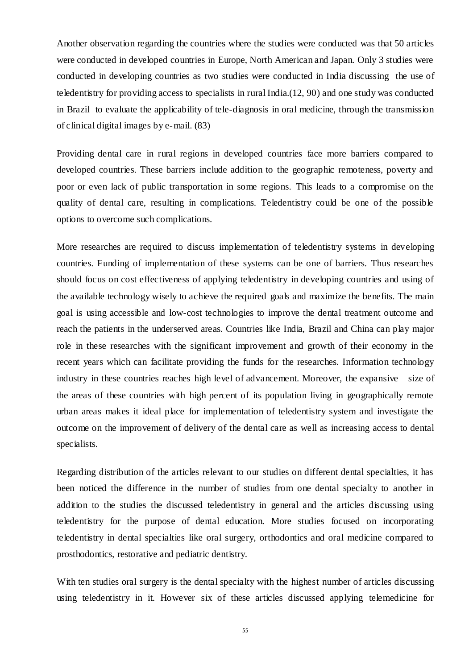Another observation regarding the countries where the studies were conducted was that 50 articles were conducted in developed countries in Europe, North American and Japan. Only 3 studies were conducted in developing countries as two studies were conducted in India discussing the use of teledentistry for providing access to specialists in rural India.(12, 90) and one study was conducted in Brazil to evaluate the applicability of tele-diagnosis in oral medicine, through the transmission of clinical digital images by e-mail. (83)

Providing dental care in rural regions in developed countries face more barriers compared to developed countries. These barriers include addition to the geographic remoteness, poverty and poor or even lack of public transportation in some regions. This leads to a compromise on the quality of dental care, resulting in complications. Teledentistry could be one of the possible options to overcome such complications.

More researches are required to discuss implementation of teledentistry systems in developing countries. Funding of implementation of these systems can be one of barriers. Thus researches should focus on cost effectiveness of applying teledentistry in developing countries and using of the available technology wisely to achieve the required goals and maximize the benefits. The main goal is using accessible and low-cost technologies to improve the dental treatment outcome and reach the patients in the underserved areas. Countries like India, Brazil and China can play major role in these researches with the significant improvement and growth of their economy in the recent years which can facilitate providing the funds for the researches. Information technology industry in these countries reaches high level of advancement. Moreover, the expansive size of the areas of these countries with high percent of its population living in geographically remote urban areas makes it ideal place for implementation of teledentistry system and investigate the outcome on the improvement of delivery of the dental care as well as increasing access to dental specialists.

Regarding distribution of the articles relevant to our studies on different dental specialties, it has been noticed the difference in the number of studies from one dental specialty to another in addition to the studies the discussed teledentistry in general and the articles discussing using teledentistry for the purpose of dental education. More studies focused on incorporating teledentistry in dental specialties like oral surgery, orthodontics and oral medicine compared to prosthodontics, restorative and pediatric dentistry.

With ten studies oral surgery is the dental specialty with the highest number of articles discussing using teledentistry in it. However six of these articles discussed applying telemedicine for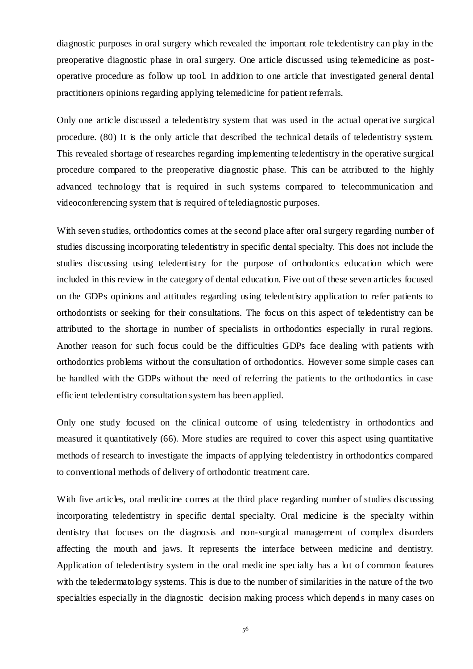diagnostic purposes in oral surgery which revealed the important role teledentistry can play in the preoperative diagnostic phase in oral surgery. One article discussed using telemedicine as postoperative procedure as follow up tool. In addition to one article that investigated general dental practitioners opinions regarding applying telemedicine for patient referrals.

Only one article discussed a teledentistry system that was used in the actual operative surgical procedure. (80) It is the only article that described the technical details of teledentistry system. This revealed shortage of researches regarding implementing teledentistry in the operative surgical procedure compared to the preoperative diagnostic phase. This can be attributed to the highly advanced technology that is required in such systems compared to telecommunication and videoconferencing system that is required of telediagnostic purposes.

With seven studies, orthodontics comes at the second place after oral surgery regarding number of studies discussing incorporating teledentistry in specific dental specialty. This does not include the studies discussing using teledentistry for the purpose of orthodontics education which were included in this review in the category of dental education. Five out of these seven articles focused on the GDPs opinions and attitudes regarding using teledentistry application to refer patients to orthodontists or seeking for their consultations. The focus on this aspect of teledentistry can be attributed to the shortage in number of specialists in orthodontics especially in rural regions. Another reason for such focus could be the difficulties GDPs face dealing with patients with orthodontics problems without the consultation of orthodontics. However some simple cases can be handled with the GDPs without the need of referring the patients to the orthodontics in case efficient teledentistry consultation system has been applied.

Only one study focused on the clinical outcome of using teledentistry in orthodontics and measured it quantitatively (66). More studies are required to cover this aspect using quantitative methods of research to investigate the impacts of applying teledentistry in orthodontics compared to conventional methods of delivery of orthodontic treatment care.

With five articles, oral medicine comes at the third place regarding number of studies discussing incorporating teledentistry in specific dental specialty. Oral medicine is the specialty within dentistry that focuses on the diagnosis and non-surgical management of complex disorders affecting the mouth and jaws. It represents the interface between medicine and dentistry. Application of teledentistry system in the oral medicine specialty has a lot of common features with the teledermatology systems. This is due to the number of similarities in the nature of the two specialties especially in the diagnostic decision making process which depend s in many cases on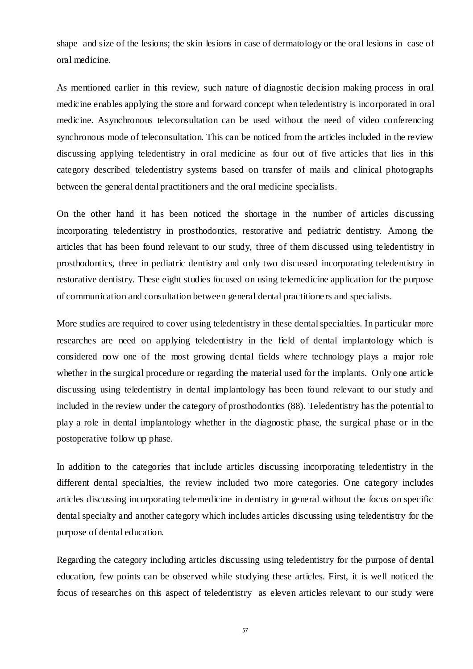shape and size of the lesions; the skin lesions in case of dermatology or the oral lesions in case of oral medicine.

As mentioned earlier in this review, such nature of diagnostic decision making process in oral medicine enables applying the store and forward concept when teledentistry is incorporated in oral medicine. Asynchronous teleconsultation can be used without the need of video conferencing synchronous mode of teleconsultation. This can be noticed from the articles included in the review discussing applying teledentistry in oral medicine as four out of five articles that lies in this category described teledentistry systems based on transfer of mails and clinical photographs between the general dental practitioners and the oral medicine specialists.

On the other hand it has been noticed the shortage in the number of articles discussing incorporating teledentistry in prosthodontics, restorative and pediatric dentistry. Among the articles that has been found relevant to our study, three of them discussed using teledentistry in prosthodontics, three in pediatric dentistry and only two discussed incorporating teledentistry in restorative dentistry. These eight studies focused on using telemedicine application for the purpose of communication and consultation between general dental practitione rs and specialists.

More studies are required to cover using teledentistry in these dental specialties. In particular more researches are need on applying teledentistry in the field of dental implantology which is considered now one of the most growing dental fields where technology plays a major role whether in the surgical procedure or regarding the material used for the implants. Only one article discussing using teledentistry in dental implantology has been found relevant to our study and included in the review under the category of prosthodontics (88). Teledentistry has the potential to play a role in dental implantology whether in the diagnostic phase, the surgical phase or in the postoperative follow up phase.

In addition to the categories that include articles discussing incorporating teledentistry in the different dental specialties, the review included two more categories. One category includes articles discussing incorporating telemedicine in dentistry in general without the focus on specific dental specialty and another category which includes articles discussing using teledentistry for the purpose of dental education.

Regarding the category including articles discussing using teledentistry for the purpose of dental education, few points can be observed while studying these articles. First, it is well noticed the focus of researches on this aspect of teledentistry as eleven articles relevant to our study were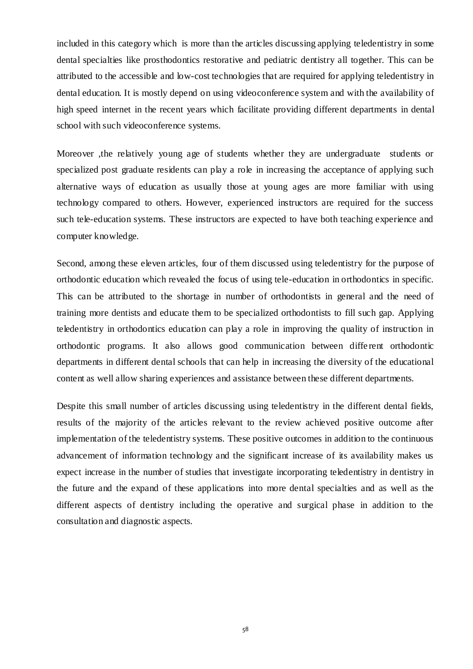included in this category which is more than the articles discussing applying teledentistry in some dental specialties like prosthodontics restorative and pediatric dentistry all together. This can be attributed to the accessible and low-cost technologies that are required for applying teledentistry in dental education. It is mostly depend on using videoconference system and with the availability of high speed internet in the recent years which facilitate providing different departments in dental school with such videoconference systems.

Moreover ,the relatively young age of students whether they are undergraduate students or specialized post graduate residents can play a role in increasing the acceptance of applying such alternative ways of education as usually those at young ages are more familiar with using technology compared to others. However, experienced instructors are required for the success such tele-education systems. These instructors are expected to have both teaching experience and computer knowledge.

Second, among these eleven articles, four of them discussed using teledentistry for the purpose of orthodontic education which revealed the focus of using tele-education in orthodontics in specific. This can be attributed to the shortage in number of orthodontists in general and the need of training more dentists and educate them to be specialized orthodontists to fill such gap. Applying teledentistry in orthodontics education can play a role in improving the quality of instruction in orthodontic programs. It also allows good communication between diffe rent orthodontic departments in different dental schools that can help in increasing the diversity of the educational content as well allow sharing experiences and assistance between these different departments.

Despite this small number of articles discussing using teledentistry in the different dental fields, results of the majority of the articles relevant to the review achieved positive outcome after implementation of the teledentistry systems. These positive outcomes in addition to the continuous advancement of information technology and the significant increase of its availability makes us expect increase in the number of studies that investigate incorporating teledentistry in dentistry in the future and the expand of these applications into more dental specialties and as well as the different aspects of dentistry including the operative and surgical phase in addition to the consultation and diagnostic aspects.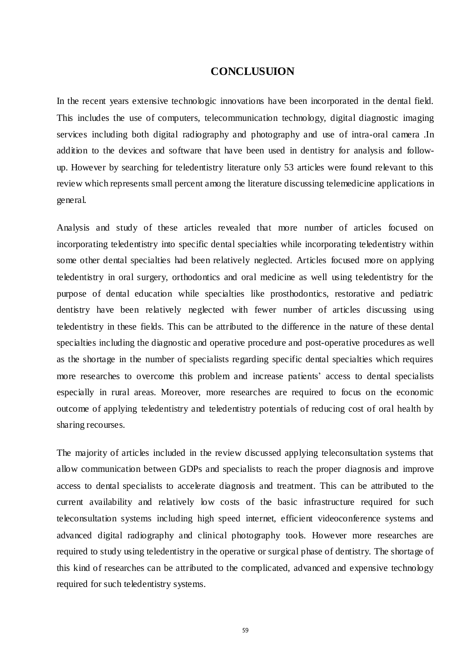### **CONCLUSUION**

In the recent years extensive technologic innovations have been incorporated in the dental field. This includes the use of computers, telecommunication technology, digital diagnostic imaging services including both digital radiography and photography and use of intra-oral camera .In addition to the devices and software that have been used in dentistry for analysis and followup. However by searching for teledentistry literature only 53 articles were found relevant to this review which represents small percent among the literature discussing telemedicine applications in general.

Analysis and study of these articles revealed that more number of articles focused on incorporating teledentistry into specific dental specialties while incorporating teledentistry within some other dental specialties had been relatively neglected. Articles focused more on applying teledentistry in oral surgery, orthodontics and oral medicine as well using teledentistry for the purpose of dental education while specialties like prosthodontics, restorative and pediatric dentistry have been relatively neglected with fewer number of articles discussing using teledentistry in these fields. This can be attributed to the difference in the nature of these dental specialties including the diagnostic and operative procedure and post-operative procedures as well as the shortage in the number of specialists regarding specific dental specialties which requires more researches to overcome this problem and increase patients' access to dental specialists especially in rural areas. Moreover, more researches are required to focus on the economic outcome of applying teledentistry and teledentistry potentials of reducing cost of oral health by sharing recourses.

The majority of articles included in the review discussed applying teleconsultation systems that allow communication between GDPs and specialists to reach the proper diagnosis and improve access to dental specialists to accelerate diagnosis and treatment. This can be attributed to the current availability and relatively low costs of the basic infrastructure required for such teleconsultation systems including high speed internet, efficient videoconference systems and advanced digital radiography and clinical photography tools. However more researches are required to study using teledentistry in the operative or surgical phase of dentistry. The shortage of this kind of researches can be attributed to the complicated, advanced and expensive technology required for such teledentistry systems.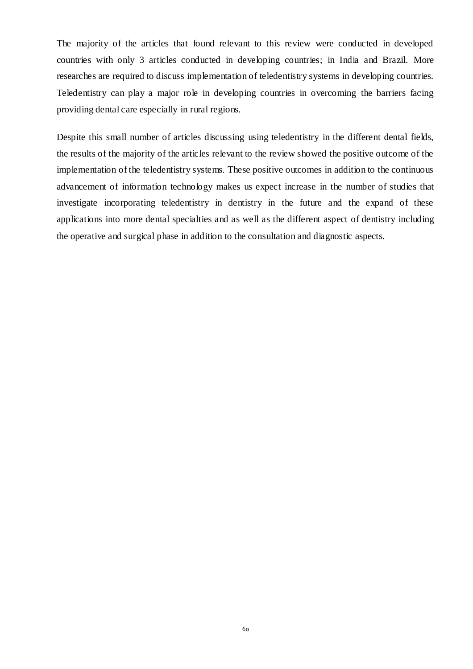The majority of the articles that found relevant to this review were conducted in developed countries with only 3 articles conducted in developing countries; in India and Brazil. More researches are required to discuss implementation of teledentistry systems in developing countries. Teledentistry can play a major role in developing countries in overcoming the barriers facing providing dental care especially in rural regions.

Despite this small number of articles discussing using teledentistry in the different dental fields, the results of the majority of the articles relevant to the review showed the positive outcome of the implementation of the teledentistry systems. These positive outcomes in addition to the continuous advancement of information technology makes us expect increase in the number of studies that investigate incorporating teledentistry in dentistry in the future and the expand of these applications into more dental specialties and as well as the different aspect of dentistry including the operative and surgical phase in addition to the consultation and diagnostic aspects.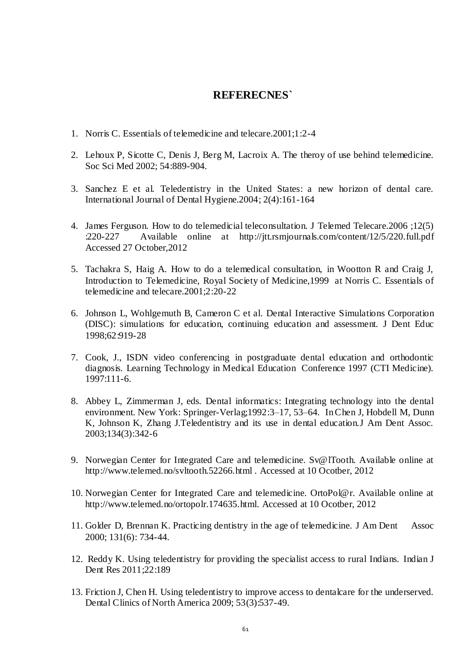### **REFERECNES`**

- 1. Norris C. Essentials of telemedicine and telecare.2001;1:2-4
- 2. Lehoux P, Sicotte C, Denis J, Berg M, Lacroix A. The theroy of use behind telemedicine. Soc Sci Med 2002; 54:889-904.
- 3. Sanchez E et al. Teledentistry in the United States: a new horizon of dental care. International Journal of Dental Hygiene.2004; 2(4):161-164
- 4. [James Ferguson.](http://jtt.rsmjournals.com/search?author1=James+Ferguson&sortspec=date&submit=Submit) How to do telemedicial teleconsultation. J Telemed Telecare.2006 ;12(5) :220-227 Available online at <http://jtt.rsmjournals.com/content/12/5/220.full.pdf> Accessed 27 October,2012
- 5. Tachakra S, Haig A. How to do a telemedical consultation, in Wootton R and Craig J, Introduction to Telemedicine, Royal Society of Medicine,1999 at Norris C. Essentials of telemedicine and telecare.2001;2:20-22
- 6. Johnson L, Wohlgemuth B, Cameron C et al. Dental Interactive Simulations Corporation (DISC): simulations for education, continuing education and assessment. J Dent Educ 1998;62:919-28
- 7. Cook, J., ISDN video conferencing in postgraduate dental education and orthodontic diagnosis. Learning Technology in Medical Education Conference 1997 (CTI Medicine). 1997:111-6.
- 8. Abbey L, Zimmerman J, eds. Dental informatics: Integrating technology into the dental environment. New York: Springer-Verlag;1992:3–17, 53–64. InChen J, Hobdell M, Dunn K, Johnson K, Zhang J.Teledentistry and its use in dental education.J Am Dent Assoc. 2003;134(3):342-6
- 9. Norwegian Center for Integrated Care and telemedicine. Sv@lTooth. Available online at http://www.telemed.no/svltooth.52266.html . Accessed at 10 Ocotber, 2012
- 10. Norwegian Center for Integrated Care and telemedicine. OrtoPol@r. Available online at http://www.telemed.no/ortopolr.174635.html. Accessed at 10 Ocotber, 2012
- 11. Golder D, Brennan K. Practicing dentistry in the age of telemedicine. J Am Dent Assoc 2000; 131(6): 734-44.
- 12. Reddy K. Using teledentistry for providing the specialist access to rural Indians. Indian J Dent Res 2011;22:189
- 13. Friction J, Chen H. Using teledentistry to improve access to dentalcare for the underserved. Dental Clinics of North America 2009; 53(3):537-49.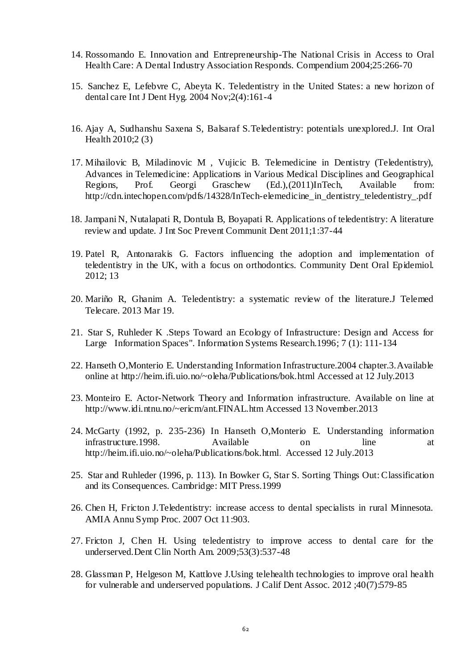- 14. Rossomando E. Innovation and Entrepreneurship-The National Crisis in Access to Oral Health Care: A Dental Industry Association Responds. Compendium 2004;25:266-70
- 15. Sanchez E, Lefebvre C, Abeyta K. Teledentistry in the United States: a new horizon of dental care Int J Dent Hyg. 2004 Nov;2(4):161-4
- 16. Ajay A, Sudhanshu Saxena S, Balsaraf S.Teledentistry: potentials unexplored.J. Int Oral Health 2010;2 (3)
- 17. Mihailovic B, Miladinovic M , Vujicic B. Telemedicine in Dentistry (Teledentistry), Advances in Telemedicine: Applications in Various Medical Disciplines and Geographical Regions, Prof. Georgi Graschew (Ed.),(2011)InTech, Available from: http://cdn.intechopen.com/pdfs/14328/InTech-elemedicine in dentistry teledentistry.pdf
- 18. Jampani N, Nutalapati R, Dontula B, Boyapati R. Applications of teledentistry: A literature review and update. J Int Soc Prevent Communit Dent 2011;1:37-44
- 19. Patel R, Antonarakis G. Factors influencing the adoption and implementation of teledentistry in the UK, with a focus on orthodontics. Community Dent Oral Epidemiol. 2012; 13
- 20. Mariño R, Ghanim A. Teledentistry: a systematic review of the literature.J Telemed Telecare. 2013 Mar 19.
- 21. Star S, Ruhleder K .Steps Toward an Ecology of Infrastructure: Design and Access for Large Information Spaces". Information Systems Research.1996; 7 (1): 111-134
- 22. Hanseth O,Monterio E. Understanding Information Infrastructure.2004 chapter.3.Available online at<http://heim.ifi.uio.no/~oleha/Publications/bok.html> Accessed at 12 July.2013
- 23. Monteiro E. Actor-Network Theory and Information infrastructure. Available on line at http://www.idi.ntnu.no/~ericm/ant.FINAL.htm Accessed 13 November.2013
- 24. McGarty (1992, p. 235-236) In Hanseth O,Monterio E. Understanding information infrastructure.1998. Available on line at <http://heim.ifi.uio.no/~oleha/Publications/bok.html>. Accessed 12 July.2013
- 25. Star and Ruhleder (1996, p. 113). In Bowker G, Star S. Sorting Things Out: Classification and its Consequences. Cambridge: MIT Press.1999
- 26. Chen H, Fricton J.Teledentistry: increase access to dental specialists in rural Minnesota. AMIA Annu Symp Proc. 2007 Oct 11:903.
- 27. Fricton J, Chen H. Using teledentistry to improve access to dental care for the underserved.Dent Clin North Am. 2009;53(3):537-48
- 28. Glassman P, Helgeson M, Kattlove J.Using telehealth technologies to improve oral health for vulnerable and underserved populations. J Calif Dent Assoc. 2012 ;40(7):579-85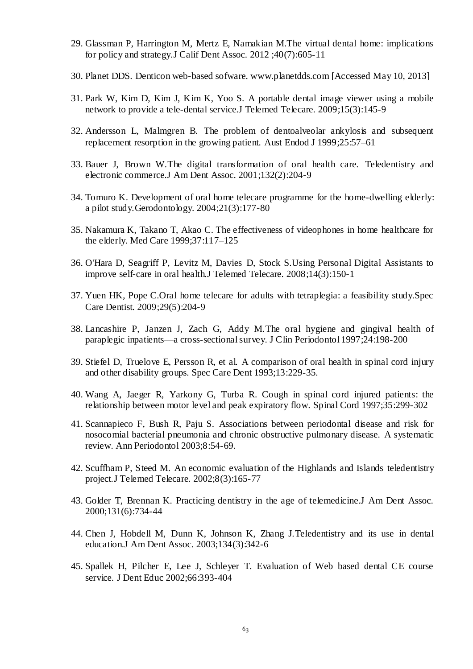- 29. Glassman P, Harrington M, Mertz E, Namakian M.The virtual dental home: implications for policy and strategy.J Calif Dent Assoc. 2012 ;40(7):605-11
- 30. Planet DDS. Denticon web-based sofware. www.planetdds.com [Accessed May 10, 2013]
- 31. Park W, Kim D, Kim J, Kim K, Yoo S. A portable dental image viewer using a mobile network to provide a tele-dental service.J Telemed Telecare. 2009;15(3):145-9
- 32. Andersson L, Malmgren B. The problem of dentoalveolar ankylosis and subsequent replacement resorption in the growing patient. Aust Endod J 1999;25:57–61
- 33. Bauer J, Brown W.The digital transformation of oral health care. Teledentistry and electronic commerce.J Am Dent Assoc. 2001;132(2):204-9
- 34. Tomuro K. Development of oral home telecare programme for the home-dwelling elderly: a pilot study.Gerodontology. 2004;21(3):177-80
- 35. Nakamura K, Takano T, Akao C. The effectiveness of videophones in home healthcare for the elderly. Med Care 1999;37:117–125
- 36. O'Hara D, Seagriff P, Levitz M, Davies D, Stock S.Using Personal Digital Assistants to improve self-care in oral health.J Telemed Telecare. 2008;14(3):150-1
- 37. Yuen HK, Pope C.Oral home telecare for adults with tetraplegia: a feasibility study.Spec Care Dentist. 2009;29(5):204-9
- 38. Lancashire P, Janzen J, Zach G, Addy M.The oral hygiene and gingival health of paraplegic inpatients—a cross-sectional survey. J Clin Periodontol 1997;24:198-200
- 39. Stiefel D, Truelove E, Persson R, et al. A comparison of oral health in spinal cord injury and other disability groups. Spec Care Dent 1993;13:229-35.
- 40. Wang A, Jaeger R, Yarkony G, Turba R. Cough in spinal cord injured patients: the relationship between motor level and peak expiratory flow. Spinal Cord 1997;35:299-302
- 41. Scannapieco F, Bush R, Paju S. Associations between periodontal disease and risk for nosocomial bacterial pneumonia and chronic obstructive pulmonary disease. A systematic review. Ann Periodontol 2003;8:54-69.
- 42. Scuffham P, Steed M. An economic evaluation of the Highlands and Islands teledentistry project.J Telemed Telecare. 2002;8(3):165-77
- 43. Golder T, Brennan K. Practicing dentistry in the age of telemedicine.J Am Dent Assoc. 2000;131(6):734-44
- 44. Chen J, Hobdell M, Dunn K, Johnson K, Zhang J.Teledentistry and its use in dental education.J Am Dent Assoc. 2003;134(3):342-6
- 45. Spallek H, Pilcher E, Lee J, Schleyer T. Evaluation of Web based dental CE course service. J Dent Educ 2002;66:393-404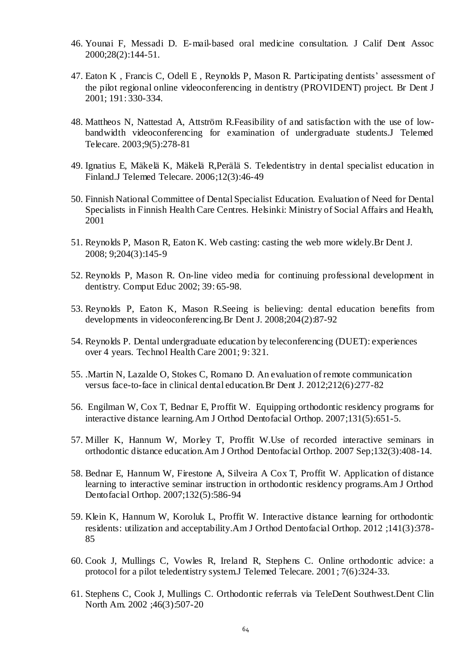- 46. Younai F, Messadi D. E-mail-based oral medicine consultation. J Calif Dent Assoc 2000;28(2):144-51.
- 47. Eaton K , Francis C, Odell E , Reynolds P, Mason R. Participating dentists' assessment of the pilot regional online videoconferencing in dentistry (PROVIDENT) project. Br Dent J 2001; 191: 330-334.
- 48. Mattheos N, Nattestad A, Attström R.Feasibility of and satisfaction with the use of lowbandwidth videoconferencing for examination of undergraduate students.J Telemed Telecare. 2003;9(5):278-81
- 49. Ignatius E, Mäkelä K, Mäkelä R,Perälä S. Teledentistry in dental specialist education in Finland.J Telemed Telecare. 2006;12(3):46-49
- 50. Finnish National Committee of Dental Specialist Education. Evaluation of Need for Dental Specialists in Finnish Health Care Centres. Helsinki: Ministry of Social Affairs and Health, 2001
- 51. Reynolds P, Mason R, Eaton K. Web casting: casting the web more widely.Br Dent J. 2008; 9;204(3):145-9
- 52. Reynolds P, Mason R. On-line video media for continuing professional development in dentistry. Comput Educ 2002; 39: 65-98.
- 53. Reynolds P, Eaton K, Mason R.Seeing is believing: dental education benefits from developments in videoconferencing.Br Dent J. 2008;204(2):87-92
- 54. Reynolds P. Dental undergraduate education by teleconferencing (DUET): experiences over 4 years. Technol Health Care 2001; 9: 321.
- 55. .Martin N, Lazalde O, Stokes C, Romano D. An evaluation of remote communication versus face-to-face in clinical dental education.Br Dent J. 2012;212(6):277-82
- 56. Engilman W, Cox T, Bednar E, Proffit W. Equipping orthodontic residency programs for interactive distance learning.Am J Orthod Dentofacial Orthop. 2007;131(5):651-5.
- 57. Miller K, Hannum W, Morley T, Proffit W.Use of recorded interactive seminars in orthodontic distance education.Am J Orthod Dentofacial Orthop. 2007 Sep;132(3):408-14.
- 58. Bednar E, Hannum W, Firestone A, Silveira A Cox T, Proffit W. Application of distance learning to interactive seminar instruction in orthodontic residency programs.Am J Orthod Dentofacial Orthop. 2007;132(5):586-94
- 59. Klein K, Hannum W, Koroluk L, Proffit W. Interactive distance learning for orthodontic residents: utilization and acceptability.Am J Orthod Dentofacial Orthop. 2012 ;141(3):378- 85
- 60. Cook J, Mullings C, Vowles R, Ireland R, Stephens C. Online orthodontic advice: a protocol for a pilot teledentistry system.J Telemed Telecare. 2001; 7(6):324-33.
- 61. Stephens C, Cook J, Mullings C. Orthodontic referrals via TeleDent Southwest.Dent Clin North Am. 2002 ;46(3):507-20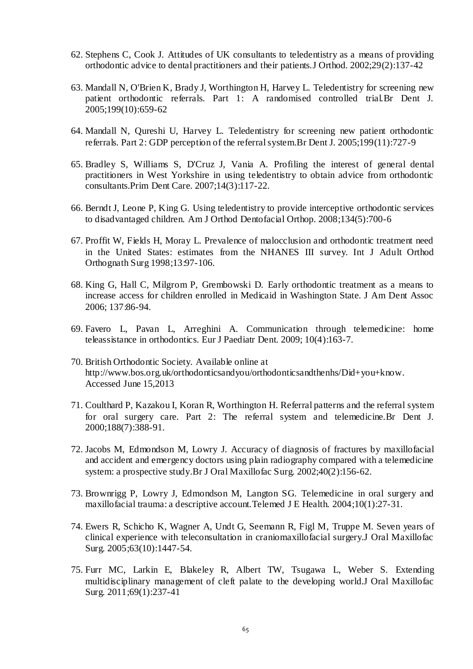- 62. Stephens C, Cook J. Attitudes of UK consultants to teledentistry as a means of providing orthodontic advice to dental practitioners and their patients.J Orthod. 2002;29(2):137-42
- 63. Mandall N, O'Brien K, Brady J, Worthington H, Harvey L. Teledentistry for screening new patient orthodontic referrals. Part 1: A randomised controlled trial.Br Dent J. 2005;199(10):659-62
- 64. Mandall N, Qureshi U, Harvey L. Teledentistry for screening new patient orthodontic referrals. Part 2: GDP perception of the referral system.Br Dent J. 2005;199(11):727-9
- 65. Bradley S, Williams S, D'Cruz J, Vania A. Profiling the interest of general dental practitioners in West Yorkshire in using teledentistry to obtain advice from orthodontic consultants.Prim Dent Care. 2007;14(3):117-22.
- 66. Berndt J, Leone P, King G. Using teledentistry to provide interceptive orthodontic services to disadvantaged children. Am J Orthod Dentofacial Orthop. 2008;134(5):700-6
- 67. Proffit W, Fields H, Moray L. Prevalence of malocclusion and orthodontic treatment need in the United States: estimates from the NHANES III survey. Int J Adult Orthod Orthognath Surg 1998;13:97-106.
- 68. King G, Hall C, Milgrom P, Grembowski D. Early orthodontic treatment as a means to increase access for children enrolled in Medicaid in Washington State. J Am Dent Assoc 2006; 137:86-94.
- 69. Favero L, Pavan L, Arreghini A. Communication through telemedicine: home teleassistance in orthodontics. Eur J Paediatr Dent. 2009; 10(4):163-7.
- 70. British Orthodontic Society. Available online at [http://www.bos.org.uk/orthodonticsandyou/orthodonticsandthenhs/Did+you+know.](http://www.bos.org.uk/orthodonticsandyou/orthodonticsandthenhs/Did+you+know) Accessed June 15,2013
- 71. Coulthard P, Kazakou I, Koran R, Worthington H. Referral patterns and the referral system for oral surgery care. Part 2: The referral system and telemedicine.Br Dent J. 2000;188(7):388-91.
- 72. Jacobs M, Edmondson M, Lowry J. Accuracy of diagnosis of fractures by maxillofacial and accident and emergency doctors using plain radiography compared with a telemedicine system: a prospective study.Br J Oral Maxillofac Surg. 2002;40(2):156-62.
- 73. Brownrigg P, Lowry J, Edmondson M, Langton SG. Telemedicine in oral surgery and maxillofacial trauma: a descriptive account.Telemed J E Health. 2004;10(1):27-31.
- 74. Ewers R, Schicho K, Wagner A, Undt G, Seemann R, Figl M, Truppe M. Seven years of clinical experience with teleconsultation in craniomaxillofacial surgery.J Oral Maxillofac Surg. 2005;63(10):1447-54.
- 75. Furr MC, Larkin E, Blakeley R, Albert TW, Tsugawa L, Weber S. Extending multidisciplinary management of cleft palate to the developing world.J Oral Maxillofac Surg. 2011;69(1):237-41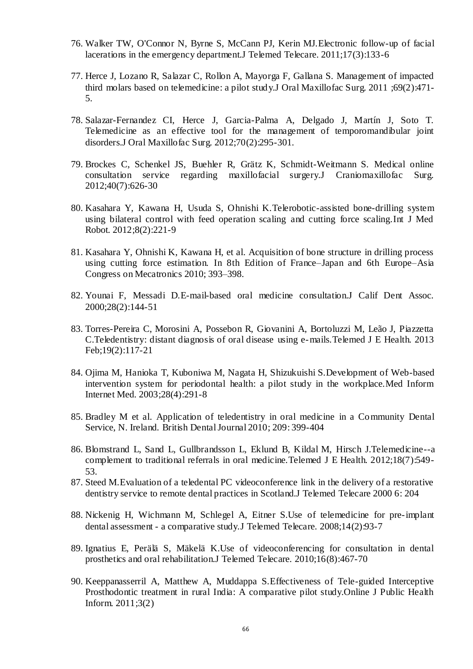- 76. Walker TW, O'Connor N, Byrne S, McCann PJ, Kerin MJ.Electronic follow-up of facial lacerations in the emergency department.J Telemed Telecare. 2011;17(3):133-6
- 77. Herce J, Lozano R, Salazar C, Rollon A, Mayorga F, Gallana S. Management of impacted third molars based on telemedicine: a pilot study.J Oral Maxillofac Surg. 2011 ;69(2):471- 5.
- 78. Salazar-Fernandez CI, Herce J, Garcia-Palma A, Delgado J, Martín J, Soto T. Telemedicine as an effective tool for the management of temporomandibular joint disorders.J Oral Maxillofac Surg. 2012;70(2):295-301.
- 79. Brockes C, Schenkel JS, Buehler R, Grätz K, Schmidt-Weitmann S. Medical online consultation service regarding maxillofacial surgery.J Craniomaxillofac Surg. 2012;40(7):626-30
- 80. Kasahara Y, Kawana H, Usuda S, Ohnishi K.Telerobotic-assisted bone-drilling system using bilateral control with feed operation scaling and cutting force scaling.Int J Med Robot. 2012;8(2):221-9
- 81. Kasahara Y, Ohnishi K, Kawana H, et al. Acquisition of bone structure in drilling process using cutting force estimation. In 8th Edition of France–Japan and 6th Europe–Asia Congress on Mecatronics 2010; 393–398.
- 82. Younai F, Messadi D.E-mail-based oral medicine consultation.J Calif Dent Assoc. 2000;28(2):144-51
- 83. Torres-Pereira C, Morosini A, Possebon R, Giovanini A, Bortoluzzi M, Leão J, Piazzetta C.Teledentistry: distant diagnosis of oral disease using e-mails.Telemed J E Health. 2013 Feb;19(2):117-21
- 84. Ojima M, Hanioka T, Kuboniwa M, Nagata H, Shizukuishi S.Development of Web-based intervention system for periodontal health: a pilot study in the workplace.Med Inform Internet Med. 2003;28(4):291-8
- 85. Bradley M et al. Application of teledentistry in oral medicine in a Community Dental Service, N. Ireland. British Dental Journal 2010; 209: 399-404
- 86. Blomstrand L, Sand L, Gullbrandsson L, Eklund B, Kildal M, Hirsch J.Telemedicine--a complement to traditional referrals in oral medicine.Telemed J E Health. 2012;18(7):549- 53.
- 87. Steed M.Evaluation of a teledental PC videoconference link in the delivery of a restorative dentistry service to remote dental practices in Scotland.J Telemed Telecare 2000 6: 204
- 88. Nickenig H, Wichmann M, Schlegel A, Eitner S.Use of telemedicine for pre-implant dental assessment - a comparative study.J Telemed Telecare. 2008;14(2):93-7
- 89. Ignatius E, Perälä S, Mäkelä K.Use of videoconferencing for consultation in dental prosthetics and oral rehabilitation.J Telemed Telecare. 2010;16(8):467-70
- 90. Keeppanasserril A, Matthew A, Muddappa S.Effectiveness of Tele-guided Interceptive Prosthodontic treatment in rural India: A comparative pilot study.Online J Public Health Inform. 2011;3(2)